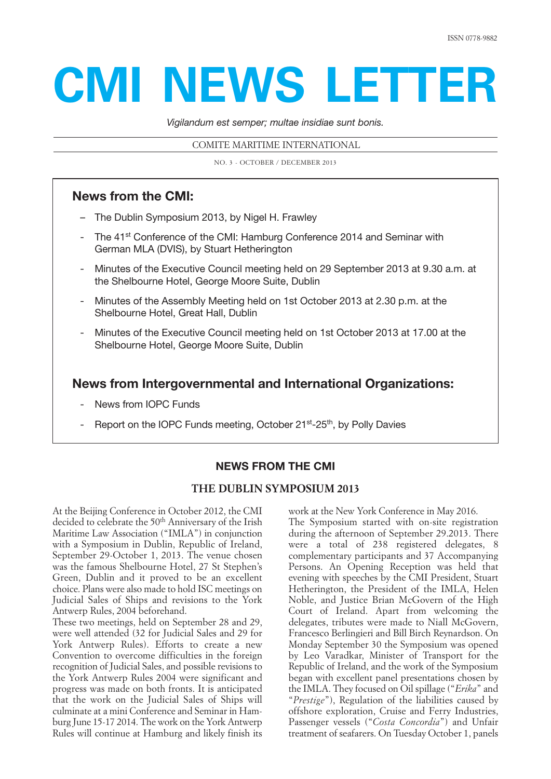# **CMI NEWS LETTER**

*Vigilandum est semper; multae insidiae sunt bonis.*

COMITE MARITIME INTERNATIONAL

NO. 3 - OCTOBER / DECEMBER 2013

# **News from the CMI:**

- The Dublin Symposium 2013, by Nigel H. Frawley
- The 41<sup>st</sup> [Conference of the CMI: Hamburg Conference 2014 and Seminar with](#page-1-0) German MLA (DVIS), by Stuart Hetherington
- Minutes of the Executive Council meeting held on 29 September 2013 at 9.30 a.m. at the Shelbourne Hotel, George Moore Suite, Dublin
- Minutes of the Assembly Meeting held on 1st October 2013 at 2.30 p.m. at the Shelbourne Hotel, Great Hall, Dublin
- Minutes of the Executive Council meeting held on 1st October 2013 at 17.00 at the Shelbourne Hotel, George Moore Suite, Dublin

# **[News from Intergovernmental and International Organizations:](#page-18-0)**

- News from IOPC Funds
- Report on the IOPC Funds meeting, October 21<sup>st</sup>-25<sup>th</sup>, by Polly Davies

# **NEWS FROM THE CMI**

# **THE DUBLIN SYMPOSIUM 2013**

At the Beijing Conference in October 2012, the CMI decided to celebrate the 50<sup>th</sup> Anniversary of the Irish Maritime Law Association ("IMLA") in conjunction with a Symposium in Dublin, Republic of Ireland, September 29-October 1, 2013. The venue chosen was the famous Shelbourne Hotel, 27 St Stephen's Green, Dublin and it proved to be an excellent choice. Plans were also made to hold ISC meetings on Judicial Sales of Ships and revisions to the York Antwerp Rules, 2004 beforehand.

These two meetings, held on September 28 and 29, were well attended (32 for Judicial Sales and 29 for York Antwerp Rules). Efforts to create a new Convention to overcome difficulties in the foreign recognition of Judicial Sales, and possible revisions to the York Antwerp Rules 2004 were significant and progress was made on both fronts. It is anticipated that the work on the Judicial Sales of Ships will culminate at a mini Conference and Seminar in Hamburg June 15-17 2014. The work on the York Antwerp Rules will continue at Hamburg and likely finish its work at the New York Conference in May 2016.

The Symposium started with on-site registration during the afternoon of September 29.2013. There were a total of 238 registered delegates, 8 complementary participants and 37 Accompanying Persons. An Opening Reception was held that evening with speeches by the CMI President, Stuart Hetherington, the President of the IMLA, Helen Noble, and Justice Brian McGovern of the High Court of Ireland. Apart from welcoming the delegates, tributes were made to Niall McGovern, Francesco Berlingieri and Bill Birch Reynardson. On Monday September 30 the Symposium was opened by Leo Varadkar, Minister of Transport for the Republic of Ireland, and the work of the Symposium began with excellent panel presentations chosen by the IMLA. They focused on Oil spillage ("*Erika*" and "*Prestige*"), Regulation of the liabilities caused by offshore exploration, Cruise and Ferry Industries, Passenger vessels ("*Costa Concordia*") and Unfair treatment of seafarers. On Tuesday October 1, panels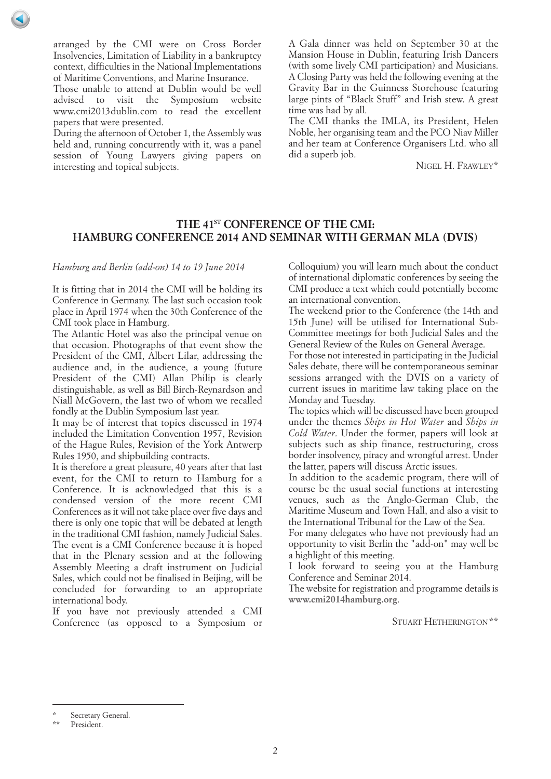<span id="page-1-0"></span>arranged by the CMI were on Cross Border Insolvencies, Limitation of Liability in a bankruptcy context, difficulties in the National Implementations of Maritime Conventions, and Marine Insurance.

Those unable to attend at Dublin would be well advised to visit the Symposium website www.cmi2013dublin.com to read the excellent papers that were presented.

During the afternoon of October 1, the Assembly was held and, running concurrently with it, was a panel session of Young Lawyers giving papers on interesting and topical subjects.

A Gala dinner was held on September 30 at the Mansion House in Dublin, featuring Irish Dancers (with some lively CMI participation) and Musicians. A Closing Party was held the following evening at the Gravity Bar in the Guinness Storehouse featuring large pints of "Black Stuff" and Irish stew. A great time was had by all.

The CMI thanks the IMLA, its President, Helen Noble, her organising team and the PCO Niav Miller and her team at Conference Organisers Ltd. who all did a superb job.

NIGEL H. FRAWLEY\*

# **THE 41ST CONFERENCE OF THE CMI: HAMBURG CONFERENCE 2014 AND SEMINAR WITH GERMAN MLA (DVIS)**

## *Hamburg and Berlin (add-on) 14 to 19 June 2014*

It is fitting that in 2014 the CMI will be holding its Conference in Germany. The last such occasion took place in April 1974 when the 30th Conference of the CMI took place in Hamburg.

The Atlantic Hotel was also the principal venue on that occasion. Photographs of that event show the President of the CMI, Albert Lilar, addressing the audience and, in the audience, a young (future President of the CMI) Allan Philip is clearly distinguishable, as well as Bill Birch-Reynardson and Niall McGovern, the last two of whom we recalled fondly at the Dublin Symposium last year.

It may be of interest that topics discussed in 1974 included the Limitation Convention 1957, Revision of the Hague Rules, Revision of the York Antwerp Rules 1950, and shipbuilding contracts.

It is therefore a great pleasure, 40 years after that last event, for the CMI to return to Hamburg for a Conference. It is acknowledged that this is a condensed version of the more recent CMI Conferences as it will not take place over five days and there is only one topic that will be debated at length in the traditional CMI fashion, namely Judicial Sales. The event is a CMI Conference because it is hoped that in the Plenary session and at the following Assembly Meeting a draft instrument on Judicial Sales, which could not be finalised in Beijing, will be concluded for forwarding to an appropriate international body.

If you have not previously attended a CMI Conference (as opposed to a Symposium or Colloquium) you will learn much about the conduct of international diplomatic conferences by seeing the CMI produce a text which could potentially become an international convention.

The weekend prior to the Conference (the 14th and 15th June) will be utilised for International Sub-Committee meetings for both Judicial Sales and the General Review of the Rules on General Average.

For those not interested in participating in the Judicial Sales debate, there will be contemporaneous seminar sessions arranged with the DVIS on a variety of current issues in maritime law taking place on the Monday and Tuesday.

The topics which will be discussed have been grouped under the themes *Ships in Hot Water* and *Ships in Cold Water*. Under the former, papers will look at subjects such as ship finance, restructuring, cross border insolvency, piracy and wrongful arrest. Under the latter, papers will discuss Arctic issues.

In addition to the academic program, there will of course be the usual social functions at interesting venues, such as the Anglo-German Club, the Maritime Museum and Town Hall, and also a visit to the International Tribunal for the Law of the Sea.

For many delegates who have not previously had an opportunity to visit Berlin the "add-on" may well be a highlight of this meeting.

I look forward to seeing you at the Hamburg Conference and Seminar 2014.

The website for registration and programme details is **www.cmi2014hamburg.org**.

STUART HETHERINGTON\*\*

Secretary General.

President.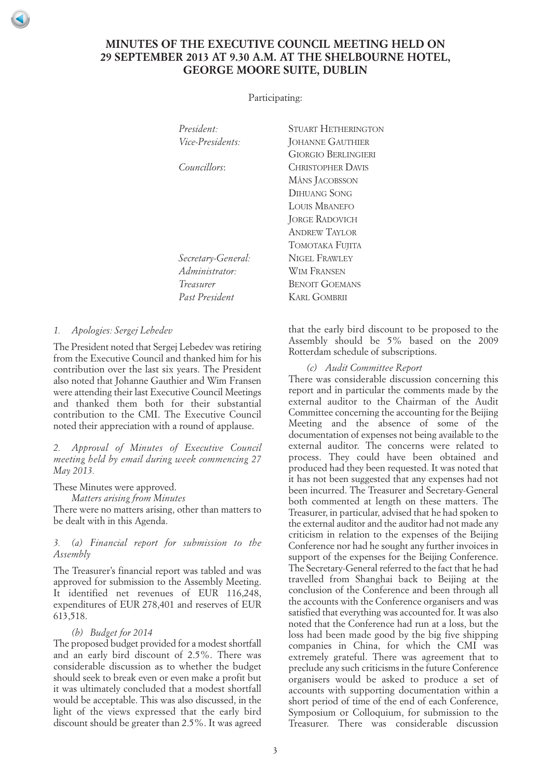# <span id="page-2-0"></span>**MINUTES OF THE EXECUTIVE COUNCIL MEETING HELD ON 29 SEPTEMBER 2013 AT 9.30 A.M. AT THE SHELBOURNE HOTEL, GEORGE MOORE SUITE, DUBLIN**

Participating:

*President:* STUART HETHERINGTON *Vice-Presidents:* JOHANNE GAUTHIER GIORGIO BERLINGIERI *Councillors*: CHRISTOPHER DAVIS MÅNS JACOBSSON DIHUANG SONG LOUIS MBANEFO JORGE RADOVICH ANDREW TAYLOR TOMOTAKA FUIITA *Secretary-General:* NIGEL FRAWLEY *Administrator:* WIM FRANSEN *Treasurer* BENOIT GOEMANS *Past President* KARL GOMBRII

*1. Apologies: Sergej Lebedev*

The President noted that Sergej Lebedev was retiring from the Executive Council and thanked him for his contribution over the last six years. The President also noted that Johanne Gauthier and Wim Fransen were attending their last Executive Council Meetings and thanked them both for their substantial contribution to the CMI. The Executive Council noted their appreciation with a round of applause.

*2. Approval of Minutes of Executive Council meeting held by email during week commencing 27 May 2013.*

These Minutes were approved.

*Matters arising from Minutes*

There were no matters arising, other than matters to be dealt with in this Agenda.

## *3. (a) Financial report for submission to the Assembly*

The Treasurer's financial report was tabled and was approved for submission to the Assembly Meeting. It identified net revenues of EUR 116,248, expenditures of EUR 278,401 and reserves of EUR 613,518.

## *(b) Budget for 2014*

The proposed budget provided for a modest shortfall and an early bird discount of 2.5%. There was considerable discussion as to whether the budget should seek to break even or even make a profit but it was ultimately concluded that a modest shortfall would be acceptable. This was also discussed, in the light of the views expressed that the early bird discount should be greater than 2.5%. It was agreed

that the early bird discount to be proposed to the Assembly should be 5% based on the 2009 Rotterdam schedule of subscriptions.

*(c) Audit Committee Report*

There was considerable discussion concerning this report and in particular the comments made by the external auditor to the Chairman of the Audit Committee concerning the accounting for the Beijing Meeting and the absence of some of the documentation of expenses not being available to the external auditor. The concerns were related to process. They could have been obtained and produced had they been requested. It was noted that it has not been suggested that any expenses had not been incurred. The Treasurer and Secretary-General both commented at length on these matters. The Treasurer, in particular, advised that he had spoken to the external auditor and the auditor had not made any criticism in relation to the expenses of the Beijing Conference nor had he sought any further invoices in support of the expenses for the Beijing Conference. The Secretary-General referred to the fact that he had travelled from Shanghai back to Beijing at the conclusion of the Conference and been through all the accounts with the Conference organisers and was satisfied that everything was accounted for. It was also noted that the Conference had run at a loss, but the loss had been made good by the big five shipping companies in China, for which the CMI was extremely grateful. There was agreement that to preclude any such criticisms in the future Conference organisers would be asked to produce a set of accounts with supporting documentation within a short period of time of the end of each Conference, Symposium or Colloquium, for submission to the Treasurer. There was considerable discussion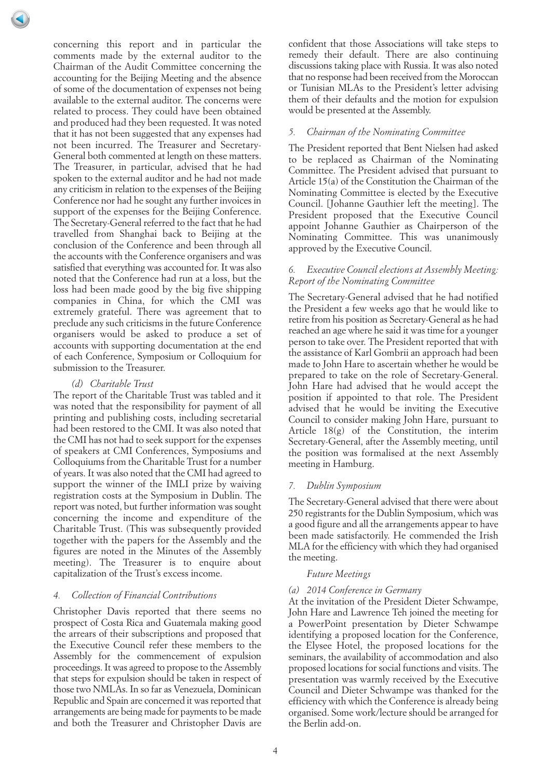concerning this report and in particular the comments made by the external auditor to the Chairman of the Audit Committee concerning the accounting for the Beijing Meeting and the absence of some of the documentation of expenses not being available to the external auditor. The concerns were related to process. They could have been obtained and produced had they been requested. It was noted that it has not been suggested that any expenses had not been incurred. The Treasurer and Secretary-General both commented at length on these matters. The Treasurer, in particular, advised that he had spoken to the external auditor and he had not made any criticism in relation to the expenses of the Beijing Conference nor had he sought any further invoices in support of the expenses for the Beijing Conference. The Secretary-General referred to the fact that he had travelled from Shanghai back to Beijing at the conclusion of the Conference and been through all the accounts with the Conference organisers and was satisfied that everything was accounted for. It was also noted that the Conference had run at a loss, but the loss had been made good by the big five shipping companies in China, for which the CMI was extremely grateful. There was agreement that to preclude any such criticisms in the future Conference organisers would be asked to produce a set of accounts with supporting documentation at the end of each Conference, Symposium or Colloquium for submission to the Treasurer.

## *(d) Charitable Trust*

The report of the Charitable Trust was tabled and it was noted that the responsibility for payment of all printing and publishing costs, including secretarial had been restored to the CMI. It was also noted that the CMI has not had to seek support for the expenses of speakers at CMI Conferences, Symposiums and Colloquiums from the Charitable Trust for a number of years. It was also noted that the CMI had agreed to support the winner of the IMLI prize by waiving registration costs at the Symposium in Dublin. The report was noted, but further information was sought concerning the income and expenditure of the Charitable Trust. (This was subsequently provided together with the papers for the Assembly and the figures are noted in the Minutes of the Assembly meeting). The Treasurer is to enquire about capitalization of the Trust's excess income.

## *4. Collection of Financial Contributions*

Christopher Davis reported that there seems no prospect of Costa Rica and Guatemala making good the arrears of their subscriptions and proposed that the Executive Council refer these members to the Assembly for the commencement of expulsion proceedings. It was agreed to propose to the Assembly that steps for expulsion should be taken in respect of those two NMLAs. In so far as Venezuela, Dominican Republic and Spain are concerned it was reported that arrangements are being made for payments to be made and both the Treasurer and Christopher Davis are

confident that those Associations will take steps to remedy their default. There are also continuing discussions taking place with Russia. It was also noted that no response had been received from the Moroccan or Tunisian MLAs to the President's letter advising them of their defaults and the motion for expulsion would be presented at the Assembly.

## *5. Chairman of the Nominating Committee*

The President reported that Bent Nielsen had asked to be replaced as Chairman of the Nominating Committee. The President advised that pursuant to Article 15(a) of the Constitution the Chairman of the Nominating Committee is elected by the Executive Council. [Johanne Gauthier left the meeting]. The President proposed that the Executive Council appoint Johanne Gauthier as Chairperson of the Nominating Committee. This was unanimously approved by the Executive Council.

## *6. Executive Council elections at Assembly Meeting: Report of the Nominating Committee*

The Secretary-General advised that he had notified the President a few weeks ago that he would like to retire from his position as Secretary-General as he had reached an age where he said it was time for a younger person to take over. The President reported that with the assistance of Karl Gombrii an approach had been made to John Hare to ascertain whether he would be prepared to take on the role of Secretary-General. John Hare had advised that he would accept the position if appointed to that role. The President advised that he would be inviting the Executive Council to consider making John Hare, pursuant to Article 18(g) of the Constitution, the interim Secretary-General, after the Assembly meeting, until the position was formalised at the next Assembly meeting in Hamburg.

## *7. Dublin Symposium*

The Secretary-General advised that there were about 250 registrants for the Dublin Symposium, which was a good figure and all the arrangements appear to have been made satisfactorily. He commended the Irish MLA for the efficiency with which they had organised the meeting.

#### *Future Meetings*

## *(a) 2014 Conference in Germany*

At the invitation of the President Dieter Schwampe, John Hare and Lawrence Teh joined the meeting for a PowerPoint presentation by Dieter Schwampe identifying a proposed location for the Conference, the Elysee Hotel, the proposed locations for the seminars, the availability of accommodation and also proposed locations for social functions and visits. The presentation was warmly received by the Executive Council and Dieter Schwampe was thanked for the efficiency with which the Conference is already being organised. Some work/lecture should be arranged for the Berlin add-on.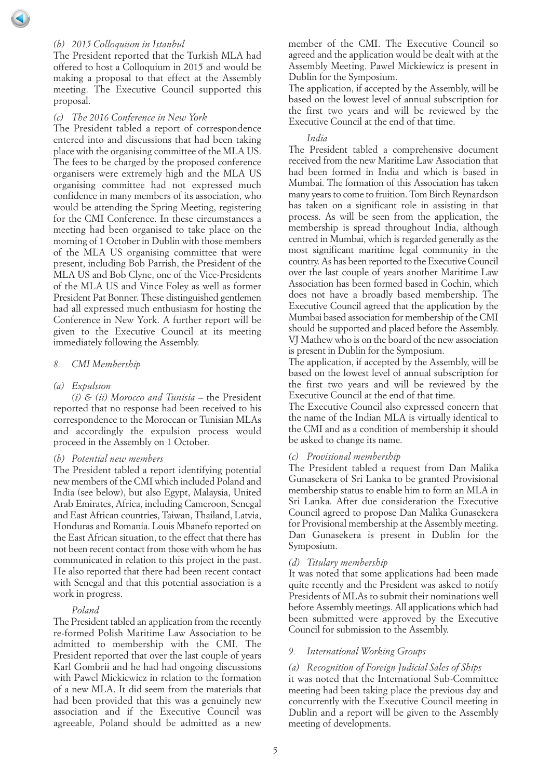## *(b) 2015 Colloquium in Istanbul*

The President reported that the Turkish MLA had offered to host a Colloquium in 2015 and would be making a proposal to that effect at the Assembly meeting. The Executive Council supported this proposal.

#### *(c) The 2016 Conference in New York*

The President tabled a report of correspondence entered into and discussions that had been taking place with the organising committee of the MLA US. The fees to be charged by the proposed conference organisers were extremely high and the MLA US organising committee had not expressed much confidence in many members of its association, who would be attending the Spring Meeting, registering for the CMI Conference. In these circumstances a meeting had been organised to take place on the morning of 1 October in Dublin with those members of the MLA US organising committee that were present, including Bob Parrish, the President of the MLA US and Bob Clyne, one of the Vice-Presidents of the MLA US and Vince Foley as well as former President Pat Bonner. These distinguished gentlemen had all expressed much enthusiasm for hosting the Conference in New York. A further report will be given to the Executive Council at its meeting immediately following the Assembly.

#### *8. CMI Membership*

#### *(a) Expulsion*

*(i) & (ii) Morocco and Tunisia* – the President reported that no response had been received to his correspondence to the Moroccan or Tunisian MLAs and accordingly the expulsion process would proceed in the Assembly on 1 October.

#### *(b) Potential new members*

The President tabled a report identifying potential new members of the CMI which included Poland and India (see below), but also Egypt, Malaysia, United Arab Emirates, Africa, including Cameroon, Senegal and East African countries, Taiwan, Thailand, Latvia, Honduras and Romania. Louis Mbanefo reported on the East African situation, to the effect that there has not been recent contact from those with whom he has communicated in relation to this project in the past. He also reported that there had been recent contact with Senegal and that this potential association is a work in progress.

#### *Poland*

The President tabled an application from the recently re-formed Polish Maritime Law Association to be admitted to membership with the CMI. The President reported that over the last couple of years Karl Gombrii and he had had ongoing discussions with Pawel Mickiewicz in relation to the formation of a new MLA. It did seem from the materials that had been provided that this was a genuinely new association and if the Executive Council was agreeable, Poland should be admitted as a new

member of the CMI. The Executive Council so agreed and the application would be dealt with at the Assembly Meeting. Pawel Mickiewicz is present in Dublin for the Symposium.

The application, if accepted by the Assembly, will be based on the lowest level of annual subscription for the first two years and will be reviewed by the Executive Council at the end of that time.

#### *India*

The President tabled a comprehensive document received from the new Maritime Law Association that had been formed in India and which is based in Mumbai. The formation of this Association has taken many years to come to fruition. Tom Birch Reynardson has taken on a significant role in assisting in that process. As will be seen from the application, the membership is spread throughout India, although centred in Mumbai, which is regarded generally as the most significant maritime legal community in the country. As has been reported to the Executive Council over the last couple of years another Maritime Law Association has been formed based in Cochin, which does not have a broadly based membership. The Executive Council agreed that the application by the Mumbai based association for membership of the CMI should be supported and placed before the Assembly. VJ Mathew who is on the board of the new association is present in Dublin for the Symposium.

The application, if accepted by the Assembly, will be based on the lowest level of annual subscription for the first two years and will be reviewed by the Executive Council at the end of that time.

The Executive Council also expressed concern that the name of the Indian MLA is virtually identical to the CMI and as a condition of membership it should be asked to change its name.

#### *(c) Provisional membership*

The President tabled a request from Dan Malika Gunasekera of Sri Lanka to be granted Provisional membership status to enable him to form an MLA in Sri Lanka. After due consideration the Executive Council agreed to propose Dan Malika Gunasekera for Provisional membership at the Assembly meeting. Dan Gunasekera is present in Dublin for the Symposium.

#### *(d) Titulary membership*

It was noted that some applications had been made quite recently and the President was asked to notify Presidents of MLAs to submit their nominations well before Assembly meetings. All applications which had been submitted were approved by the Executive Council for submission to the Assembly.

#### *9. International Working Groups*

#### *(a) Recognition of Foreign Judicial Sales of Ships*

it was noted that the International Sub-Committee meeting had been taking place the previous day and concurrently with the Executive Council meeting in Dublin and a report will be given to the Assembly meeting of developments.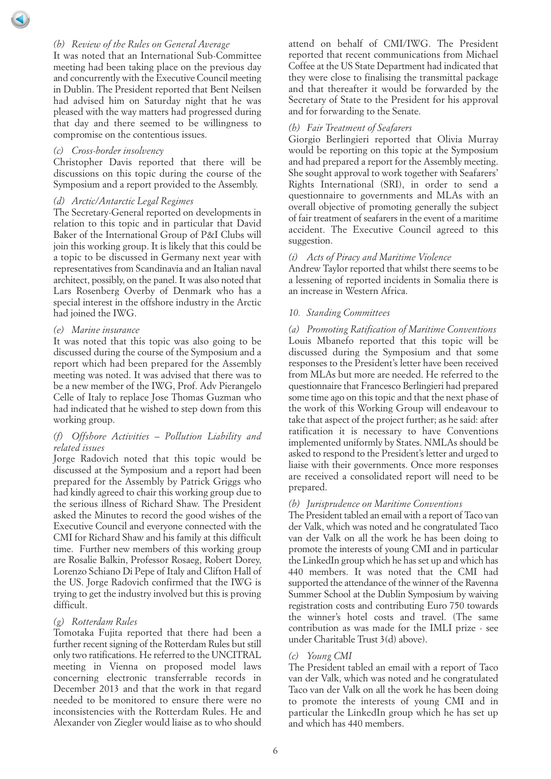## *(b) Review of the Rules on General Average*

It was noted that an International Sub-Committee meeting had been taking place on the previous day and concurrently with the Executive Council meeting in Dublin. The President reported that Bent Neilsen had advised him on Saturday night that he was pleased with the way matters had progressed during that day and there seemed to be willingness to compromise on the contentious issues.

#### *(c) Cross-border insolvency*

Christopher Davis reported that there will be discussions on this topic during the course of the Symposium and a report provided to the Assembly.

#### *(d) Arctic/Antarctic Legal Regimes*

The Secretary-General reported on developments in relation to this topic and in particular that David Baker of the International Group of P&I Clubs will join this working group. It is likely that this could be a topic to be discussed in Germany next year with representatives from Scandinavia and an Italian naval architect, possibly, on the panel. It was also noted that Lars Rosenberg Overby of Denmark who has a special interest in the offshore industry in the Arctic had joined the IWG.

#### *(e) Marine insurance*

It was noted that this topic was also going to be discussed during the course of the Symposium and a report which had been prepared for the Assembly meeting was noted. It was advised that there was to be a new member of the IWG, Prof. Adv Pierangelo Celle of Italy to replace Jose Thomas Guzman who had indicated that he wished to step down from this working group.

## *(f) Offshore Activities – Pollution Liability and related issues*

Jorge Radovich noted that this topic would be discussed at the Symposium and a report had been prepared for the Assembly by Patrick Griggs who had kindly agreed to chair this working group due to the serious illness of Richard Shaw. The President asked the Minutes to record the good wishes of the Executive Council and everyone connected with the CMI for Richard Shaw and his family at this difficult time. Further new members of this working group are Rosalie Balkin, Professor Rosaeg, Robert Dorey, Lorenzo Schiano Di Pepe of Italy and Clifton Hall of the US. Jorge Radovich confirmed that the IWG is trying to get the industry involved but this is proving difficult.

#### *(g) Rotterdam Rules*

Tomotaka Fujita reported that there had been a further recent signing of the Rotterdam Rules but still only two ratifications. He referred to the UNCITRAL meeting in Vienna on proposed model laws concerning electronic transferrable records in December 2013 and that the work in that regard needed to be monitored to ensure there were no inconsistencies with the Rotterdam Rules. He and Alexander von Ziegler would liaise as to who should

attend on behalf of CMI/IWG. The President reported that recent communications from Michael Coffee at the US State Department had indicated that they were close to finalising the transmittal package and that thereafter it would be forwarded by the Secretary of State to the President for his approval and for forwarding to the Senate.

### *(h) Fair Treatment of Seafarers*

Giorgio Berlingieri reported that Olivia Murray would be reporting on this topic at the Symposium and had prepared a report for the Assembly meeting. She sought approval to work together with Seafarers' Rights International (SRI), in order to send a questionnaire to governments and MLAs with an overall objective of promoting generally the subject of fair treatment of seafarers in the event of a maritime accident. The Executive Council agreed to this suggestion.

#### *(i) Acts of Piracy and Maritime Violence*

Andrew Taylor reported that whilst there seems to be a lessening of reported incidents in Somalia there is an increase in Western Africa.

## *10. Standing Committees*

*(a) Promoting Ratification of Maritime Conventions* Louis Mbanefo reported that this topic will be discussed during the Symposium and that some responses to the President's letter have been received from MLAs but more are needed. He referred to the questionnaire that Francesco Berlingieri had prepared some time ago on this topic and that the next phase of the work of this Working Group will endeavour to take that aspect of the project further; as he said: after ratification it is necessary to have Conventions implemented uniformly by States. NMLAs should be asked to respond to the President's letter and urged to liaise with their governments. Once more responses are received a consolidated report will need to be prepared.

#### *(b) Jurisprudence on Maritime Conventions*

The President tabled an email with a report of Taco van der Valk, which was noted and he congratulated Taco van der Valk on all the work he has been doing to promote the interests of young CMI and in particular the LinkedIn group which he has set up and which has 440 members. It was noted that the CMI had supported the attendance of the winner of the Ravenna Summer School at the Dublin Symposium by waiving registration costs and contributing Euro 750 towards the winner's hotel costs and travel. (The same contribution as was made for the IMLI prize - see under Charitable Trust 3(d) above).

#### *(c) Young CMI*

The President tabled an email with a report of Taco van der Valk, which was noted and he congratulated Taco van der Valk on all the work he has been doing to promote the interests of young CMI and in particular the LinkedIn group which he has set up and which has 440 members.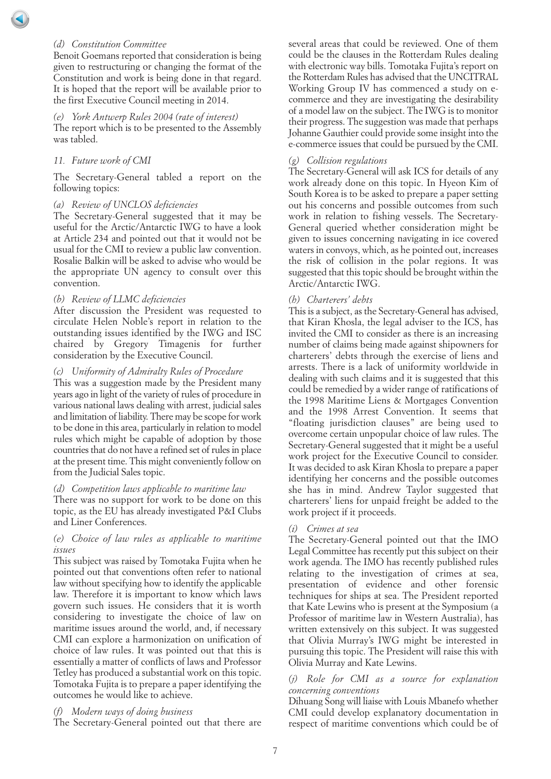## *(d) Constitution Committee*

Benoit Goemans reported that consideration is being given to restructuring or changing the format of the Constitution and work is being done in that regard. It is hoped that the report will be available prior to the first Executive Council meeting in 2014.

#### *(e) York Antwerp Rules 2004 (rate of interest)* The report which is to be presented to the Assembly was tabled.

## *11. Future work of CMI*

The Secretary-General tabled a report on the following topics:

#### *(a) Review of UNCLOS deficiencies*

The Secretary-General suggested that it may be useful for the Arctic/Antarctic IWG to have a look at Article 234 and pointed out that it would not be usual for the CMI to review a public law convention. Rosalie Balkin will be asked to advise who would be the appropriate UN agency to consult over this convention.

#### *(b) Review of LLMC deficiencies*

After discussion the President was requested to circulate Helen Noble's report in relation to the outstanding issues identified by the IWG and ISC chaired by Gregory Timagenis for further consideration by the Executive Council.

#### *(c) Uniformity of Admiralty Rules of Procedure*

This was a suggestion made by the President many years ago in light of the variety of rules of procedure in various national laws dealing with arrest, judicial sales and limitation of liability. There may be scope for work to be done in this area, particularly in relation to model rules which might be capable of adoption by those countries that do not have a refined set of rules in place at the present time. This might conveniently follow on from the Judicial Sales topic.

#### *(d) Competition laws applicable to maritime law*

There was no support for work to be done on this topic, as the EU has already investigated P&I Clubs and Liner Conferences.

## *(e) Choice of law rules as applicable to maritime issues*

This subject was raised by Tomotaka Fujita when he pointed out that conventions often refer to national law without specifying how to identify the applicable law. Therefore it is important to know which laws govern such issues. He considers that it is worth considering to investigate the choice of law on maritime issues around the world, and, if necessary CMI can explore a harmonization on unification of choice of law rules. It was pointed out that this is essentially a matter of conflicts of laws and Professor Tetley has produced a substantial work on this topic. Tomotaka Fujita is to prepare a paper identifying the outcomes he would like to achieve.

#### *(f) Modern ways of doing business*

The Secretary-General pointed out that there are

several areas that could be reviewed. One of them could be the clauses in the Rotterdam Rules dealing with electronic way bills. Tomotaka Fujita's report on the Rotterdam Rules has advised that the UNCITRAL Working Group IV has commenced a study on ecommerce and they are investigating the desirability of a model law on the subject. The IWG is to monitor their progress. The suggestion was made that perhaps Johanne Gauthier could provide some insight into the e-commerce issues that could be pursued by the CMI.

#### *(g) Collision regulations*

The Secretary-General will ask ICS for details of any work already done on this topic. In Hyeon Kim of South Korea is to be asked to prepare a paper setting out his concerns and possible outcomes from such work in relation to fishing vessels. The Secretary-General queried whether consideration might be given to issues concerning navigating in ice covered waters in convoys, which, as he pointed out, increases the risk of collision in the polar regions. It was suggested that this topic should be brought within the Arctic/Antarctic IWG.

## *(h) Charterers' debts*

This is a subject, as the Secretary-General has advised, that Kiran Khosla, the legal adviser to the ICS, has invited the CMI to consider as there is an increasing number of claims being made against shipowners for charterers' debts through the exercise of liens and arrests. There is a lack of uniformity worldwide in dealing with such claims and it is suggested that this could be remedied by a wider range of ratifications of the 1998 Maritime Liens & Mortgages Convention and the 1998 Arrest Convention. It seems that "floating jurisdiction clauses" are being used to overcome certain unpopular choice of law rules. The Secretary-General suggested that it might be a useful work project for the Executive Council to consider. It was decided to ask Kiran Khosla to prepare a paper identifying her concerns and the possible outcomes she has in mind. Andrew Taylor suggested that charterers' liens for unpaid freight be added to the work project if it proceeds.

#### *(i) Crimes at sea*

The Secretary-General pointed out that the IMO Legal Committee has recently put this subject on their work agenda. The IMO has recently published rules relating to the investigation of crimes at sea, presentation of evidence and other forensic techniques for ships at sea. The President reported that Kate Lewins who is present at the Symposium (a Professor of maritime law in Western Australia), has written extensively on this subject. It was suggested that Olivia Murray's IWG might be interested in pursuing this topic. The President will raise this with Olivia Murray and Kate Lewins.

#### *(j) Role for CMI as a source for explanation concerning conventions*

Dihuang Song will liaise with Louis Mbanefo whether CMI could develop explanatory documentation in respect of maritime conventions which could be of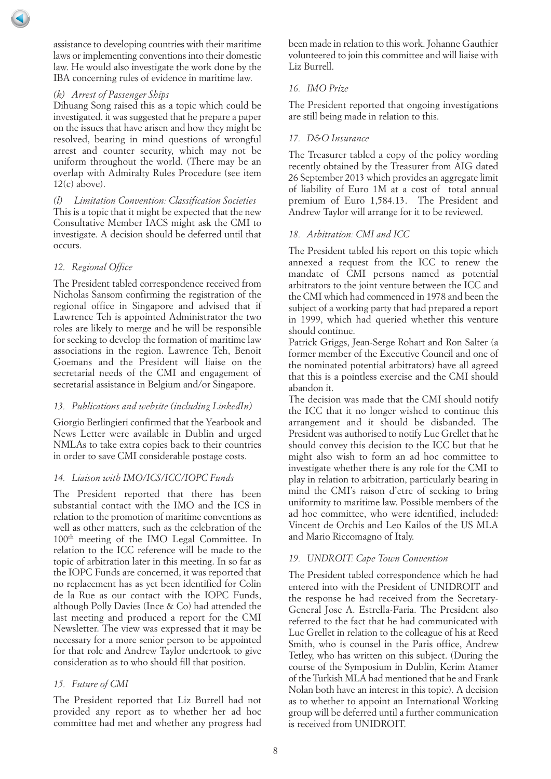assistance to developing countries with their maritime laws or implementing conventions into their domestic law. He would also investigate the work done by the IBA concerning rules of evidence in maritime law.

## *(k) Arrest of Passenger Ships*

Dihuang Song raised this as a topic which could be investigated. it was suggested that he prepare a paper on the issues that have arisen and how they might be resolved, bearing in mind questions of wrongful arrest and counter security, which may not be uniform throughout the world. (There may be an overlap with Admiralty Rules Procedure (see item  $12(c)$  above).

*(l) Limitation Convention: Classification Societies* This is a topic that it might be expected that the new Consultative Member IACS might ask the CMI to investigate. A decision should be deferred until that occurs.

## *12. Regional Office*

The President tabled correspondence received from Nicholas Sansom confirming the registration of the regional office in Singapore and advised that if Lawrence Teh is appointed Administrator the two roles are likely to merge and he will be responsible for seeking to develop the formation of maritime law associations in the region. Lawrence Teh, Benoit Goemans and the President will liaise on the secretarial needs of the CMI and engagement of secretarial assistance in Belgium and/or Singapore.

## *13. Publications and website (including LinkedIn)*

Giorgio Berlingieri confirmed that the Yearbook and News Letter were available in Dublin and urged NMLAs to take extra copies back to their countries in order to save CMI considerable postage costs.

## *14. Liaison with IMO/ICS/ICC/IOPC Funds*

The President reported that there has been substantial contact with the IMO and the ICS in relation to the promotion of maritime conventions as well as other matters, such as the celebration of the 100th meeting of the IMO Legal Committee. In relation to the ICC reference will be made to the topic of arbitration later in this meeting. In so far as the IOPC Funds are concerned, it was reported that no replacement has as yet been identified for Colin de la Rue as our contact with the IOPC Funds, although Polly Davies (Ince & Co) had attended the last meeting and produced a report for the CMI Newsletter. The view was expressed that it may be necessary for a more senior person to be appointed for that role and Andrew Taylor undertook to give consideration as to who should fill that position.

# *15. Future of CMI*

The President reported that Liz Burrell had not provided any report as to whether her ad hoc committee had met and whether any progress had

been made in relation to this work. Johanne Gauthier volunteered to join this committee and will liaise with Liz Burrell.

## *16. IMO Prize*

The President reported that ongoing investigations are still being made in relation to this.

## *17. D&O Insurance*

The Treasurer tabled a copy of the policy wording recently obtained by the Treasurer from AIG dated 26 September 2013 which provides an aggregate limit of liability of Euro 1M at a cost of total annual premium of Euro 1,584.13. The President and Andrew Taylor will arrange for it to be reviewed.

# *18. Arbitration: CMI and ICC*

The President tabled his report on this topic which annexed a request from the ICC to renew the mandate of CMI persons named as potential arbitrators to the joint venture between the ICC and the CMI which had commenced in 1978 and been the subject of a working party that had prepared a report in 1999, which had queried whether this venture should continue.

Patrick Griggs, Jean-Serge Rohart and Ron Salter (a former member of the Executive Council and one of the nominated potential arbitrators) have all agreed that this is a pointless exercise and the CMI should abandon it.

The decision was made that the CMI should notify the ICC that it no longer wished to continue this arrangement and it should be disbanded. The President was authorised to notify Luc Grellet that he should convey this decision to the ICC but that he might also wish to form an ad hoc committee to investigate whether there is any role for the CMI to play in relation to arbitration, particularly bearing in mind the CMI's raison d'etre of seeking to bring uniformity to maritime law. Possible members of the ad hoc committee, who were identified, included: Vincent de Orchis and Leo Kailos of the US MLA and Mario Riccomagno of Italy.

## *19. UNDROIT: Cape Town Convention*

The President tabled correspondence which he had entered into with the President of UNIDROIT and the response he had received from the Secretary-General Jose A. Estrella-Faria. The President also referred to the fact that he had communicated with Luc Grellet in relation to the colleague of his at Reed Smith, who is counsel in the Paris office, Andrew Tetley, who has written on this subject. (During the course of the Symposium in Dublin, Kerim Atamer of the Turkish MLA had mentioned that he and Frank Nolan both have an interest in this topic). A decision as to whether to appoint an International Working group will be deferred until a further communication is received from UNIDROIT.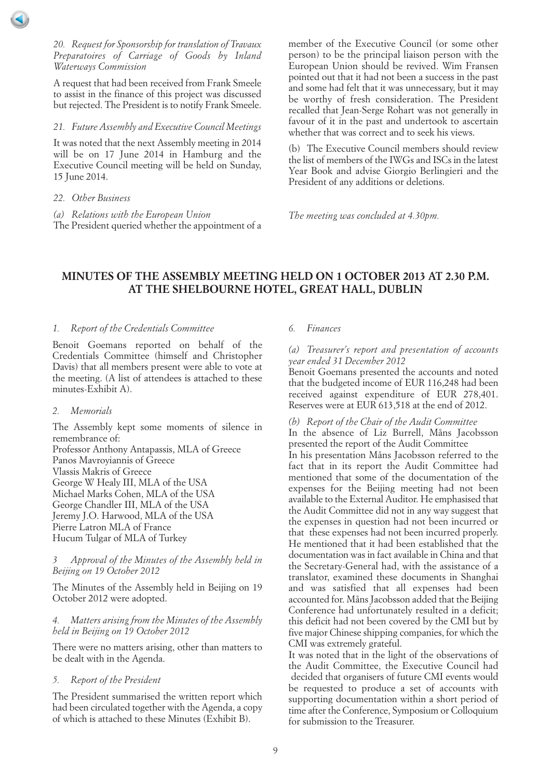## <span id="page-8-0"></span>*20. Request for Sponsorship for translation of Travaux Preparatoires of Carriage of Goods by Inland Waterways Commission*

A request that had been received from Frank Smeele to assist in the finance of this project was discussed but rejected. The President is to notify Frank Smeele.

## *21. Future Assembly and Executive Council Meetings*

It was noted that the next Assembly meeting in 2014 will be on 17 June 2014 in Hamburg and the Executive Council meeting will be held on Sunday, 15 June 2014.

*22. Other Business*

*(a) Relations with the European Union* The President queried whether the appointment of a member of the Executive Council (or some other person) to be the principal liaison person with the European Union should be revived. Wim Fransen pointed out that it had not been a success in the past and some had felt that it was unnecessary, but it may be worthy of fresh consideration. The President recalled that Jean-Serge Rohart was not generally in favour of it in the past and undertook to ascertain whether that was correct and to seek his views.

(b) The Executive Council members should review the list of members of the IWGs and ISCs in the latest Year Book and advise Giorgio Berlingieri and the President of any additions or deletions.

*The meeting was concluded at 4.30pm.*

# **MINUTES OF THE ASSEMBLY MEETING HELD ON 1 OCTOBER 2013 AT 2.30 P.M. AT THE SHELBOURNE HOTEL, GREAT HALL, DUBLIN**

## *1. Report of the Credentials Committee*

Benoit Goemans reported on behalf of the Credentials Committee (himself and Christopher Davis) that all members present were able to vote at the meeting. (A list of attendees is attached to these minutes-Exhibit A).

## *2. Memorials*

The Assembly kept some moments of silence in remembrance of:

Professor Anthony Antapassis, MLA of Greece Panos Mavroyiannis of Greece Vlassis Makris of Greece George W Healy III, MLA of the USA Michael Marks Cohen, MLA of the USA George Chandler III, MLA of the USA Jeremy J.O. Harwood, MLA of the USA Pierre Latron MLA of France Hucum Tulgar of MLA of Turkey

#### *3 Approval of the Minutes of the Assembly held in Beijing on 19 October 2012*

The Minutes of the Assembly held in Beijing on 19 October 2012 were adopted.

## *4. Matters arising from the Minutes of the Assembly held in Beijing on 19 October 2012*

There were no matters arising, other than matters to be dealt with in the Agenda.

## *5. Report of the President*

The President summarised the written report which had been circulated together with the Agenda, a copy of which is attached to these Minutes (Exhibit B).

## *6. Finances*

#### *(a) Treasurer's report and presentation of accounts year ended 31 December 2012*

Benoit Goemans presented the accounts and noted that the budgeted income of EUR 116,248 had been received against expenditure of EUR 278,401. Reserves were at EUR 613,518 at the end of 2012.

## *(b) Report of the Chair of the Audit Committee*

In the absence of Liz Burrell, Måns Jacobsson presented the report of the Audit Committee In his presentation Måns Jacobsson referred to the fact that in its report the Audit Committee had mentioned that some of the documentation of the expenses for the Beijing meeting had not been available to the External Auditor. He emphasised that the Audit Committee did not in any way suggest that the expenses in question had not been incurred or that these expenses had not been incurred properly. He mentioned that it had been established that the documentation was in fact available in China and that the Secretary-General had, with the assistance of a translator, examined these documents in Shanghai and was satisfied that all expenses had been accounted for. Måns Jacobsson added that the Beijing Conference had unfortunately resulted in a deficit; this deficit had not been covered by the CMI but by five major Chinese shipping companies, for which the CMI was extremely grateful.

It was noted that in the light of the observations of the Audit Committee, the Executive Council had decided that organisers of future CMI events would be requested to produce a set of accounts with supporting documentation within a short period of time after the Conference, Symposium or Colloquium for submission to the Treasurer.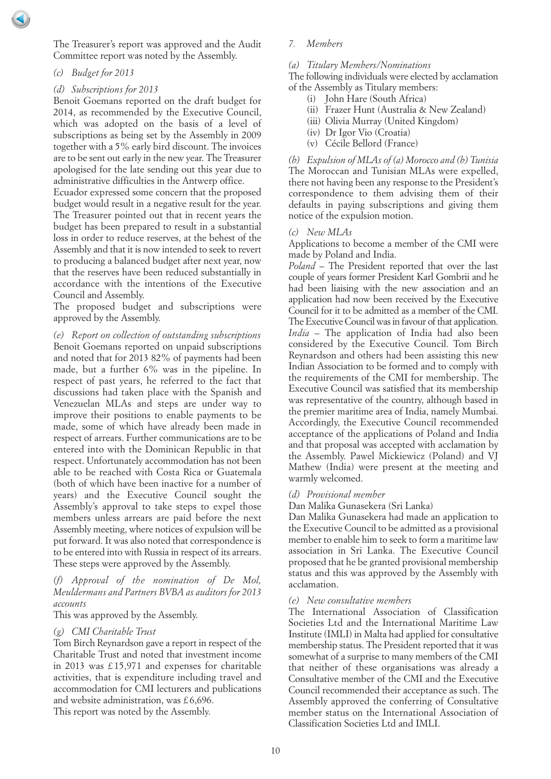The Treasurer's report was approved and the Audit Committee report was noted by the Assembly.

*(c) Budget for 2013*

#### *(d) Subscriptions for 2013*

Benoit Goemans reported on the draft budget for 2014, as recommended by the Executive Council, which was adopted on the basis of a level of subscriptions as being set by the Assembly in 2009 together with a 5% early bird discount. The invoices are to be sent out early in the new year. The Treasurer apologised for the late sending out this year due to administrative difficulties in the Antwerp office.

Ecuador expressed some concern that the proposed budget would result in a negative result for the year. The Treasurer pointed out that in recent years the budget has been prepared to result in a substantial loss in order to reduce reserves, at the behest of the Assembly and that it is now intended to seek to revert to producing a balanced budget after next year, now that the reserves have been reduced substantially in accordance with the intentions of the Executive Council and Assembly.

The proposed budget and subscriptions were approved by the Assembly.

*(e) Report on collection of outstanding subscriptions* Benoit Goemans reported on unpaid subscriptions and noted that for 2013 82% of payments had been made, but a further 6% was in the pipeline. In respect of past years, he referred to the fact that discussions had taken place with the Spanish and Venezuelan MLAs and steps are under way to improve their positions to enable payments to be made, some of which have already been made in respect of arrears. Further communications are to be entered into with the Dominican Republic in that respect. Unfortunately accommodation has not been able to be reached with Costa Rica or Guatemala (both of which have been inactive for a number of years) and the Executive Council sought the Assembly's approval to take steps to expel those members unless arrears are paid before the next Assembly meeting, where notices of expulsion will be put forward. It was also noted that correspondence is to be entered into with Russia in respect of its arrears. These steps were approved by the Assembly.

## *(f) Approval of the nomination of De Mol, Meuldermans and Partners BVBA as auditors for 2013 accounts*

This was approved by the Assembly.

## *(g) CMI Charitable Trust*

Tom Birch Reynardson gave a report in respect of the Charitable Trust and noted that investment income in 2013 was £ 15,971 and expenses for charitable activities, that is expenditure including travel and accommodation for CMI lecturers and publications and website administration, was £ 6,696.

This report was noted by the Assembly.

#### *7. Members*

#### *(a) Titulary Members/Nominations*

The following individuals were elected by acclamation of the Assembly as Titulary members:

- (i) John Hare (South Africa)
- (ii) Frazer Hunt (Australia & New Zealand)
- (iii) Olivia Murray (United Kingdom)
- (iv) Dr Igor Vio (Croatia)
- (v) Cécile Bellord (France)

*(b) Expulsion of MLAs of (a) Morocco and (b) Tunisia* The Moroccan and Tunisian MLAs were expelled, there not having been any response to the President's correspondence to them advising them of their defaults in paying subscriptions and giving them notice of the expulsion motion.

#### *(c) New MLAs*

Applications to become a member of the CMI were made by Poland and India.

*Poland* – The President reported that over the last couple of years former President Karl Gombrii and he had been liaising with the new association and an application had now been received by the Executive Council for it to be admitted as a member of the CMI. The Executive Council was in favour of that application. *India* – The application of India had also been considered by the Executive Council. Tom Birch Reynardson and others had been assisting this new Indian Association to be formed and to comply with the requirements of the CMI for membership. The Executive Council was satisfied that its membership was representative of the country, although based in the premier maritime area of India, namely Mumbai. Accordingly, the Executive Council recommended acceptance of the applications of Poland and India and that proposal was accepted with acclamation by the Assembly. Pawel Mickiewicz (Poland) and VJ Mathew (India) were present at the meeting and warmly welcomed.

#### *(d) Provisional member*

Dan Malika Gunasekera (Sri Lanka)

Dan Malika Gunasekera had made an application to the Executive Council to be admitted as a provisional member to enable him to seek to form a maritime law association in Sri Lanka. The Executive Council proposed that he be granted provisional membership status and this was approved by the Assembly with acclamation.

#### *(e) New consultative members*

The International Association of Classification Societies Ltd and the International Maritime Law Institute (IMLI) in Malta had applied for consultative membership status. The President reported that it was somewhat of a surprise to many members of the CMI that neither of these organisations was already a Consultative member of the CMI and the Executive Council recommended their acceptance as such. The Assembly approved the conferring of Consultative member status on the International Association of Classification Societies Ltd and IMLI.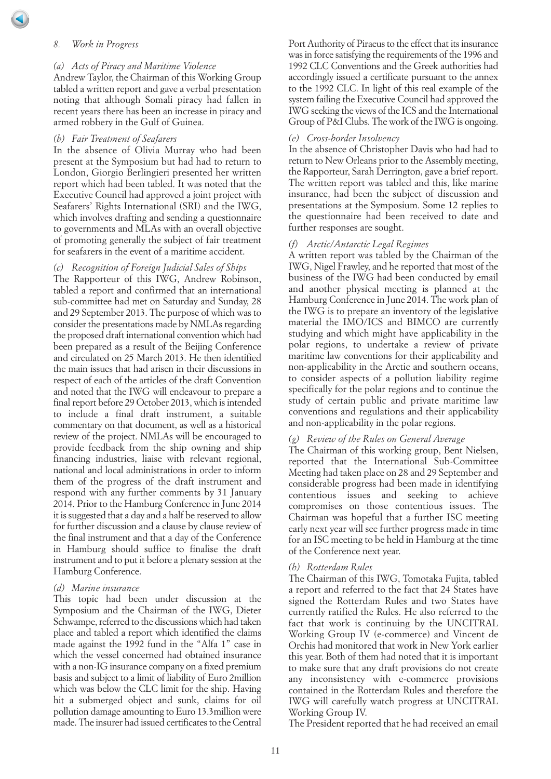#### *8. Work in Progress*

#### *(a) Acts of Piracy and Maritime Violence*

Andrew Taylor, the Chairman of this Working Group tabled a written report and gave a verbal presentation noting that although Somali piracy had fallen in recent years there has been an increase in piracy and armed robbery in the Gulf of Guinea.

#### *(b) Fair Treatment of Seafarers*

In the absence of Olivia Murray who had been present at the Symposium but had had to return to London, Giorgio Berlingieri presented her written report which had been tabled. It was noted that the Executive Council had approved a joint project with Seafarers' Rights International (SRI) and the IWG, which involves drafting and sending a questionnaire to governments and MLAs with an overall objective of promoting generally the subject of fair treatment for seafarers in the event of a maritime accident.

*(c) Recognition of Foreign Judicial Sales of Ships*

The Rapporteur of this IWG, Andrew Robinson, tabled a report and confirmed that an international sub-committee had met on Saturday and Sunday, 28 and 29 September 2013. The purpose of which was to consider the presentations made by NMLAs regarding the proposed draft international convention which had been prepared as a result of the Beijing Conference and circulated on 25 March 2013. He then identified the main issues that had arisen in their discussions in respect of each of the articles of the draft Convention and noted that the IWG will endeavour to prepare a final report before 29 October 2013, which is intended to include a final draft instrument, a suitable commentary on that document, as well as a historical review of the project. NMLAs will be encouraged to provide feedback from the ship owning and ship financing industries, liaise with relevant regional, national and local administrations in order to inform them of the progress of the draft instrument and respond with any further comments by 31 January 2014. Prior to the Hamburg Conference in June 2014 it is suggested that a day and a half be reserved to allow for further discussion and a clause by clause review of the final instrument and that a day of the Conference in Hamburg should suffice to finalise the draft instrument and to put it before a plenary session at the Hamburg Conference.

#### *(d) Marine insurance*

This topic had been under discussion at the Symposium and the Chairman of the IWG, Dieter Schwampe, referred to the discussions which had taken place and tabled a report which identified the claims made against the 1992 fund in the "Alfa 1" case in which the vessel concerned had obtained insurance with a non-IG insurance company on a fixed premium basis and subject to a limit of liability of Euro 2million which was below the CLC limit for the ship. Having hit a submerged object and sunk, claims for oil pollution damage amounting to Euro 13.3million were made. The insurer had issued certificates to the Central

Port Authority of Piraeus to the effect that its insurance was in force satisfying the requirements of the 1996 and 1992 CLC Conventions and the Greek authorities had accordingly issued a certificate pursuant to the annex to the 1992 CLC. In light of this real example of the system failing the Executive Council had approved the IWG seeking the views of the ICS and the International Group of P&I Clubs. The work of the IWG is ongoing.

## *(e) Cross-border Insolvency*

In the absence of Christopher Davis who had had to return to New Orleans prior to the Assembly meeting, the Rapporteur, Sarah Derrington, gave a brief report. The written report was tabled and this, like marine insurance, had been the subject of discussion and presentations at the Symposium. Some 12 replies to the questionnaire had been received to date and further responses are sought.

#### *(f) Arctic/Antarctic Legal Regimes*

A written report was tabled by the Chairman of the IWG, Nigel Frawley, and he reported that most of the business of the IWG had been conducted by email and another physical meeting is planned at the Hamburg Conference in June 2014. The work plan of the IWG is to prepare an inventory of the legislative material the IMO/ICS and BIMCO are currently studying and which might have applicability in the polar regions, to undertake a review of private maritime law conventions for their applicability and non-applicability in the Arctic and southern oceans, to consider aspects of a pollution liability regime specifically for the polar regions and to continue the study of certain public and private maritime law conventions and regulations and their applicability and non-applicability in the polar regions.

#### *(g) Review of the Rules on General Average*

The Chairman of this working group, Bent Nielsen, reported that the International Sub-Committee Meeting had taken place on 28 and 29 September and considerable progress had been made in identifying contentious issues and seeking to achieve compromises on those contentious issues. The Chairman was hopeful that a further ISC meeting early next year will see further progress made in time for an ISC meeting to be held in Hamburg at the time of the Conference next year.

#### *(h) Rotterdam Rules*

The Chairman of this IWG, Tomotaka Fujita, tabled a report and referred to the fact that 24 States have signed the Rotterdam Rules and two States have currently ratified the Rules. He also referred to the fact that work is continuing by the UNCITRAL Working Group IV (e-commerce) and Vincent de Orchis had monitored that work in New York earlier this year. Both of them had noted that it is important to make sure that any draft provisions do not create any inconsistency with e-commerce provisions contained in the Rotterdam Rules and therefore the IWG will carefully watch progress at UNCITRAL Working Group IV.

The President reported that he had received an email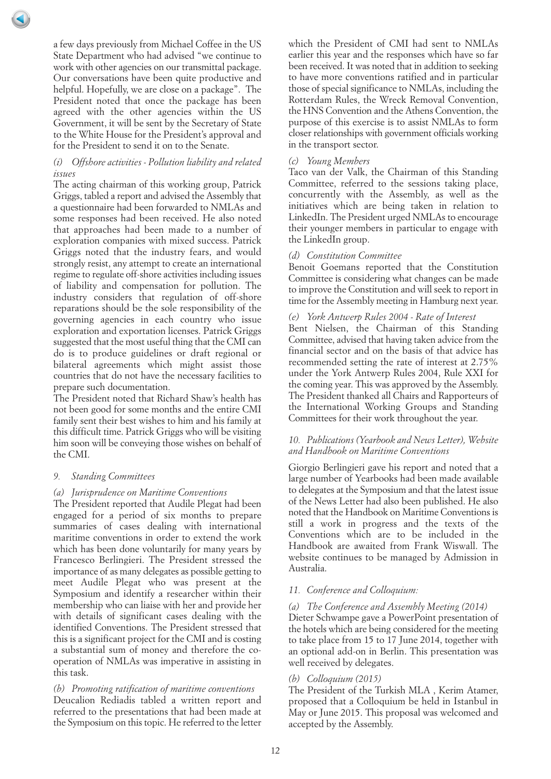a few days previously from Michael Coffee in the US State Department who had advised "we continue to work with other agencies on our transmittal package. Our conversations have been quite productive and helpful. Hopefully, we are close on a package". The President noted that once the package has been agreed with the other agencies within the US Government, it will be sent by the Secretary of State to the White House for the President's approval and for the President to send it on to the Senate.

## *(i) Offshore activities - Pollution liability and related issues*

The acting chairman of this working group, Patrick Griggs, tabled a report and advised the Assembly that a questionnaire had been forwarded to NMLAs and some responses had been received. He also noted that approaches had been made to a number of exploration companies with mixed success. Patrick Griggs noted that the industry fears, and would strongly resist, any attempt to create an international regime to regulate off-shore activities including issues of liability and compensation for pollution. The industry considers that regulation of off-shore reparations should be the sole responsibility of the governing agencies in each country who issue exploration and exportation licenses. Patrick Griggs suggested that the most useful thing that the CMI can do is to produce guidelines or draft regional or bilateral agreements which might assist those countries that do not have the necessary facilities to prepare such documentation.

The President noted that Richard Shaw's health has not been good for some months and the entire CMI family sent their best wishes to him and his family at this difficult time. Patrick Griggs who will be visiting him soon will be conveying those wishes on behalf of the CMI.

## *9. Standing Committees*

#### *(a) Jurisprudence on Maritime Conventions*

The President reported that Audile Plegat had been engaged for a period of six months to prepare summaries of cases dealing with international maritime conventions in order to extend the work which has been done voluntarily for many years by Francesco Berlingieri. The President stressed the importance of as many delegates as possible getting to meet Audile Plegat who was present at the Symposium and identify a researcher within their membership who can liaise with her and provide her with details of significant cases dealing with the identified Conventions. The President stressed that this is a significant project for the CMI and is costing a substantial sum of money and therefore the cooperation of NMLAs was imperative in assisting in this task.

## *(b) Promoting ratification of maritime conventions*

Deucalion Rediadis tabled a written report and referred to the presentations that had been made at the Symposium on this topic. He referred to the letter

which the President of CMI had sent to NMLAs earlier this year and the responses which have so far been received. It was noted that in addition to seeking to have more conventions ratified and in particular those of special significance to NMLAs, including the Rotterdam Rules, the Wreck Removal Convention, the HNS Convention and the Athens Convention, the purpose of this exercise is to assist NMLAs to form closer relationships with government officials working in the transport sector.

## *(c) Young Members*

Taco van der Valk, the Chairman of this Standing Committee, referred to the sessions taking place, concurrently with the Assembly, as well as the initiatives which are being taken in relation to LinkedIn. The President urged NMLAs to encourage their younger members in particular to engage with the LinkedIn group.

## *(d) Constitution Committee*

Benoit Goemans reported that the Constitution Committee is considering what changes can be made to improve the Constitution and will seek to report in time for the Assembly meeting in Hamburg next year.

## *(e) York Antwerp Rules 2004 - Rate of Interest*

Bent Nielsen, the Chairman of this Standing Committee, advised that having taken advice from the financial sector and on the basis of that advice has recommended setting the rate of interest at 2.75% under the York Antwerp Rules 2004, Rule XXI for the coming year. This was approved by the Assembly. The President thanked all Chairs and Rapporteurs of the International Working Groups and Standing Committees for their work throughout the year.

### *10. Publications (Yearbook and News Letter), Website and Handbook on Maritime Conventions*

Giorgio Berlingieri gave his report and noted that a large number of Yearbooks had been made available to delegates at the Symposium and that the latest issue of the News Letter had also been published. He also noted that the Handbook on Maritime Conventions is still a work in progress and the texts of the Conventions which are to be included in the Handbook are awaited from Frank Wiswall. The website continues to be managed by Admission in Australia.

## *11. Conference and Colloquium:*

#### *(a) The Conference and Assembly Meeting (2014)*

Dieter Schwampe gave a PowerPoint presentation of the hotels which are being considered for the meeting to take place from 15 to 17 June 2014, together with an optional add-on in Berlin. This presentation was well received by delegates.

## *(b) Colloquium (2015)*

The President of the Turkish MLA , Kerim Atamer, proposed that a Colloquium be held in Istanbul in May or June 2015. This proposal was welcomed and accepted by the Assembly.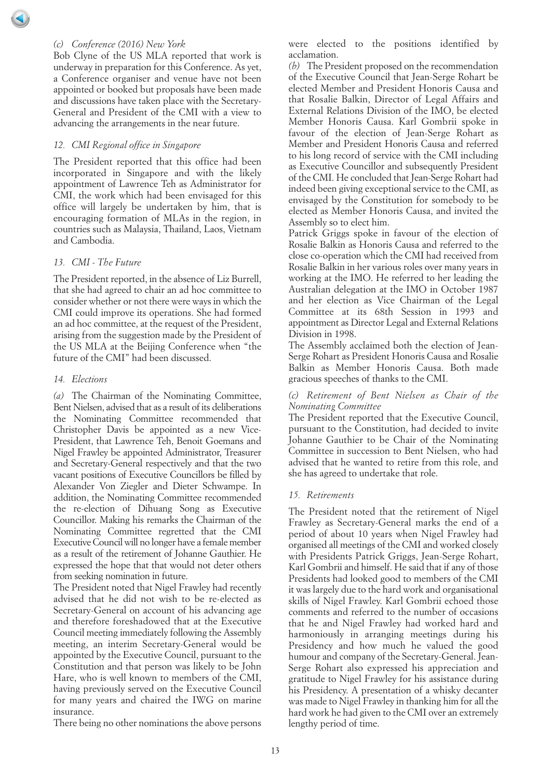## *(c) Conference (2016) New York*

Bob Clyne of the US MLA reported that work is underway in preparation for this Conference. As yet, a Conference organiser and venue have not been appointed or booked but proposals have been made and discussions have taken place with the Secretary-General and President of the CMI with a view to advancing the arrangements in the near future.

#### *12. CMI Regional office in Singapore*

The President reported that this office had been incorporated in Singapore and with the likely appointment of Lawrence Teh as Administrator for CMI, the work which had been envisaged for this office will largely be undertaken by him, that is encouraging formation of MLAs in the region, in countries such as Malaysia, Thailand, Laos, Vietnam and Cambodia.

#### *13. CMI - The Future*

The President reported, in the absence of Liz Burrell, that she had agreed to chair an ad hoc committee to consider whether or not there were ways in which the CMI could improve its operations. She had formed an ad hoc committee, at the request of the President, arising from the suggestion made by the President of the US MLA at the Beijing Conference when "the future of the CMI" had been discussed.

#### *14. Elections*

*(a)* The Chairman of the Nominating Committee, Bent Nielsen, advised that as a result of its deliberations the Nominating Committee recommended that Christopher Davis be appointed as a new Vice-President, that Lawrence Teh, Benoit Goemans and Nigel Frawley be appointed Administrator, Treasurer and Secretary-General respectively and that the two vacant positions of Executive Councillors be filled by Alexander Von Ziegler and Dieter Schwampe. In addition, the Nominating Committee recommended the re-election of Dihuang Song as Executive Councillor. Making his remarks the Chairman of the Nominating Committee regretted that the CMI Executive Council will no longer have a female member as a result of the retirement of Johanne Gauthier. He expressed the hope that that would not deter others from seeking nomination in future.

The President noted that Nigel Frawley had recently advised that he did not wish to be re-elected as Secretary-General on account of his advancing age and therefore foreshadowed that at the Executive Council meeting immediately following the Assembly meeting, an interim Secretary-General would be appointed by the Executive Council, pursuant to the Constitution and that person was likely to be John Hare, who is well known to members of the CMI, having previously served on the Executive Council for many years and chaired the IWG on marine insurance.

There being no other nominations the above persons

were elected to the positions identified by acclamation.

*(b)* The President proposed on the recommendation of the Executive Council that Jean-Serge Rohart be elected Member and President Honoris Causa and that Rosalie Balkin, Director of Legal Affairs and External Relations Division of the IMO, be elected Member Honoris Causa. Karl Gombrii spoke in favour of the election of Jean-Serge Rohart as Member and President Honoris Causa and referred to his long record of service with the CMI including as Executive Councillor and subsequently President of the CMI. He concluded that Jean-Serge Rohart had indeed been giving exceptional service to the CMI, as envisaged by the Constitution for somebody to be elected as Member Honoris Causa, and invited the Assembly so to elect him.

Patrick Griggs spoke in favour of the election of Rosalie Balkin as Honoris Causa and referred to the close co-operation which the CMI had received from Rosalie Balkin in her various roles over many years in working at the IMO. He referred to her leading the Australian delegation at the IMO in October 1987 and her election as Vice Chairman of the Legal Committee at its 68th Session in 1993 and appointment as Director Legal and External Relations Division in 1998.

The Assembly acclaimed both the election of Jean-Serge Rohart as President Honoris Causa and Rosalie Balkin as Member Honoris Causa. Both made gracious speeches of thanks to the CMI.

## *(c) Retirement of Bent Nielsen as Chair of the Nominating Committee*

The President reported that the Executive Council, pursuant to the Constitution, had decided to invite Johanne Gauthier to be Chair of the Nominating Committee in succession to Bent Nielsen, who had advised that he wanted to retire from this role, and she has agreed to undertake that role.

#### *15. Retirements*

The President noted that the retirement of Nigel Frawley as Secretary-General marks the end of a period of about 10 years when Nigel Frawley had organised all meetings of the CMI and worked closely with Presidents Patrick Griggs, Jean-Serge Rohart, Karl Gombrii and himself. He said that if any of those Presidents had looked good to members of the CMI it was largely due to the hard work and organisational skills of Nigel Frawley. Karl Gombrii echoed those comments and referred to the number of occasions that he and Nigel Frawley had worked hard and harmoniously in arranging meetings during his Presidency and how much he valued the good humour and company of the Secretary-General. Jean-Serge Rohart also expressed his appreciation and gratitude to Nigel Frawley for his assistance during his Presidency. A presentation of a whisky decanter was made to Nigel Frawley in thanking him for all the hard work he had given to the CMI over an extremely lengthy period of time.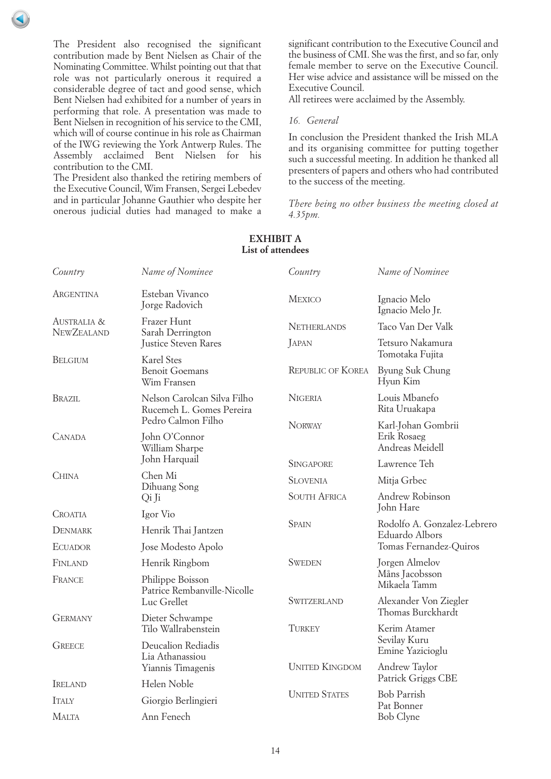The President also recognised the significant contribution made by Bent Nielsen as Chair of the Nominating Committee. Whilst pointing out that that role was not particularly onerous it required a considerable degree of tact and good sense, which Bent Nielsen had exhibited for a number of years in performing that role. A presentation was made to Bent Nielsen in recognition of his service to the CMI, which will of course continue in his role as Chairman of the IWG reviewing the York Antwerp Rules. The Assembly acclaimed Bent Nielsen for his contribution to the CMI.

The President also thanked the retiring members of the Executive Council, Wim Fransen, Sergei Lebedev and in particular Johanne Gauthier who despite her onerous judicial duties had managed to make a significant contribution to the Executive Council and the business of CMI. She was the first, and so far, only female member to serve on the Executive Council. Her wise advice and assistance will be missed on the Executive Council.

All retirees were acclaimed by the Assembly.

#### *16. General*

In conclusion the President thanked the Irish MLA and its organising committee for putting together such a successful meeting. In addition he thanked all presenters of papers and others who had contributed to the success of the meeting.

*There being no other business the meeting closed at 4.35pm.*

| Name of Nominee<br>Esteban Vivanco<br>Jorge Radovich<br>Frazer Hunt<br>Sarah Derrington<br>Justice Steven Rares<br><b>Karel Stes</b><br><b>Benoit Goemans</b><br>Wim Fransen<br>Nelson Carolcan Silva Filho<br>Rucemeh L. Gomes Pereira | Country<br>MEXICO<br><b>NETHERLANDS</b><br>JAPAN<br><b>REPUBLIC OF KOREA</b><br><b>NIGERIA</b>                                                                                                                                                                                                                                                                | Name of Nominee<br>Ignacio Melo<br>Ignacio Melo Jr.<br>Taco Van Der Valk<br>Tetsuro Nakamura<br>Tomotaka Fujita<br>Byung Suk Chung<br>Hyun Kim<br>Louis Mbanefo<br>Rita Uruakapa |
|-----------------------------------------------------------------------------------------------------------------------------------------------------------------------------------------------------------------------------------------|---------------------------------------------------------------------------------------------------------------------------------------------------------------------------------------------------------------------------------------------------------------------------------------------------------------------------------------------------------------|----------------------------------------------------------------------------------------------------------------------------------------------------------------------------------|
|                                                                                                                                                                                                                                         |                                                                                                                                                                                                                                                                                                                                                               |                                                                                                                                                                                  |
|                                                                                                                                                                                                                                         |                                                                                                                                                                                                                                                                                                                                                               |                                                                                                                                                                                  |
|                                                                                                                                                                                                                                         |                                                                                                                                                                                                                                                                                                                                                               |                                                                                                                                                                                  |
|                                                                                                                                                                                                                                         |                                                                                                                                                                                                                                                                                                                                                               |                                                                                                                                                                                  |
|                                                                                                                                                                                                                                         |                                                                                                                                                                                                                                                                                                                                                               |                                                                                                                                                                                  |
|                                                                                                                                                                                                                                         |                                                                                                                                                                                                                                                                                                                                                               |                                                                                                                                                                                  |
|                                                                                                                                                                                                                                         | <b>NORWAY</b>                                                                                                                                                                                                                                                                                                                                                 | Karl-Johan Gombrii<br>Erik Rosaeg<br>Andreas Meidell                                                                                                                             |
|                                                                                                                                                                                                                                         | <b>SINGAPORE</b>                                                                                                                                                                                                                                                                                                                                              | Lawrence Teh                                                                                                                                                                     |
|                                                                                                                                                                                                                                         | <b>SLOVENIA</b>                                                                                                                                                                                                                                                                                                                                               | Mitja Grbec                                                                                                                                                                      |
|                                                                                                                                                                                                                                         | <b>SOUTH AFRICA</b>                                                                                                                                                                                                                                                                                                                                           | Andrew Robinson<br>John Hare                                                                                                                                                     |
|                                                                                                                                                                                                                                         | <b>SPAIN</b>                                                                                                                                                                                                                                                                                                                                                  | Rodolfo A. Gonzalez-Lebrerc<br>Eduardo Albors                                                                                                                                    |
|                                                                                                                                                                                                                                         |                                                                                                                                                                                                                                                                                                                                                               |                                                                                                                                                                                  |
|                                                                                                                                                                                                                                         |                                                                                                                                                                                                                                                                                                                                                               | Tomas Fernandez-Quiros                                                                                                                                                           |
|                                                                                                                                                                                                                                         | <b>SWEDEN</b>                                                                                                                                                                                                                                                                                                                                                 | Jorgen Almelov                                                                                                                                                                   |
|                                                                                                                                                                                                                                         |                                                                                                                                                                                                                                                                                                                                                               | Måns Jacobsson<br>Mikaela Tamm                                                                                                                                                   |
|                                                                                                                                                                                                                                         | SWITZERLAND                                                                                                                                                                                                                                                                                                                                                   | Alexander Von Ziegler<br>Thomas Burckhardt                                                                                                                                       |
|                                                                                                                                                                                                                                         | TURKEY                                                                                                                                                                                                                                                                                                                                                        | Kerim Atamer                                                                                                                                                                     |
|                                                                                                                                                                                                                                         | Sevilay Kuru<br>Emine Yazicioglu                                                                                                                                                                                                                                                                                                                              |                                                                                                                                                                                  |
|                                                                                                                                                                                                                                         | <b>UNITED KINGDOM</b>                                                                                                                                                                                                                                                                                                                                         | Andrew Taylor                                                                                                                                                                    |
|                                                                                                                                                                                                                                         | Patrick Griggs CBE<br><b>UNITED STATES</b><br><b>Bob Parrish</b><br>Pat Bonner<br>Bob Clyne                                                                                                                                                                                                                                                                   |                                                                                                                                                                                  |
|                                                                                                                                                                                                                                         |                                                                                                                                                                                                                                                                                                                                                               |                                                                                                                                                                                  |
|                                                                                                                                                                                                                                         |                                                                                                                                                                                                                                                                                                                                                               |                                                                                                                                                                                  |
|                                                                                                                                                                                                                                         | John O'Connor<br>William Sharpe<br>John Harquail<br>Dihuang Song<br>Henrik Thai Jantzen<br>Jose Modesto Apolo<br>Henrik Ringbom<br>Philippe Boisson<br>Patrice Rembanville-Nicolle<br>Luc Grellet<br>Dieter Schwampe<br>Tilo Wallrabenstein<br>Deucalion Rediadis<br>Lia Athanassiou<br>Yiannis Timagenis<br>Helen Noble<br>Giorgio Berlingieri<br>Ann Fenech | Pedro Calmon Filho                                                                                                                                                               |

# **EXHIBIT A List of attendees**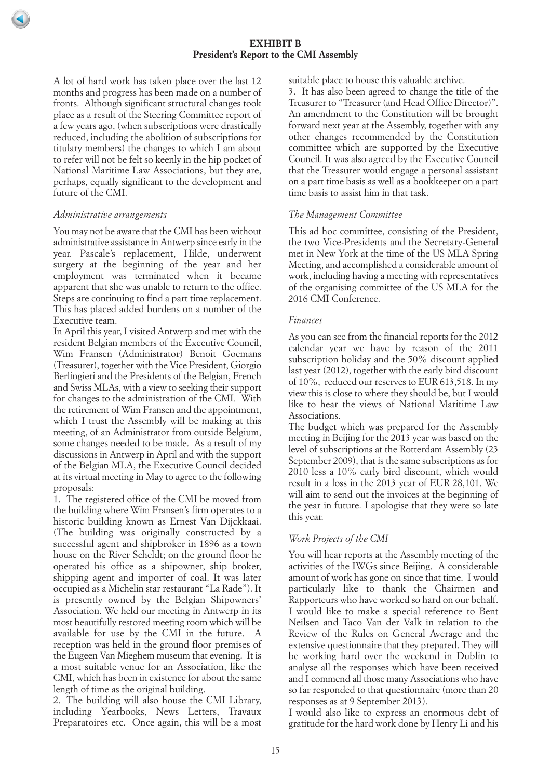A lot of hard work has taken place over the last 12 months and progress has been made on a number of fronts. Although significant structural changes took place as a result of the Steering Committee report of a few years ago, (when subscriptions were drastically reduced, including the abolition of subscriptions for titulary members) the changes to which I am about to refer will not be felt so keenly in the hip pocket of National Maritime Law Associations, but they are, perhaps, equally significant to the development and future of the CMI.

#### *Administrative arrangements*

You may not be aware that the CMI has been without administrative assistance in Antwerp since early in the year. Pascale's replacement, Hilde, underwent surgery at the beginning of the year and her employment was terminated when it became apparent that she was unable to return to the office. Steps are continuing to find a part time replacement. This has placed added burdens on a number of the Executive team.

In April this year, I visited Antwerp and met with the resident Belgian members of the Executive Council, Wim Fransen (Administrator) Benoit Goemans (Treasurer), together with the Vice President, Giorgio Berlingieri and the Presidents of the Belgian, French and Swiss MLAs, with a view to seeking their support for changes to the administration of the CMI. With the retirement of Wim Fransen and the appointment, which I trust the Assembly will be making at this meeting, of an Administrator from outside Belgium, some changes needed to be made. As a result of my discussions in Antwerp in April and with the support of the Belgian MLA, the Executive Council decided at its virtual meeting in May to agree to the following proposals:

1. The registered office of the CMI be moved from the building where Wim Fransen's firm operates to a historic building known as Ernest Van Dijckkaai. (The building was originally constructed by a successful agent and shipbroker in 1896 as a town house on the River Scheldt; on the ground floor he operated his office as a shipowner, ship broker, shipping agent and importer of coal. It was later occupied as a Michelin star restaurant "La Rade"). It is presently owned by the Belgian Shipowners' Association. We held our meeting in Antwerp in its most beautifully restored meeting room which will be available for use by the CMI in the future. A reception was held in the ground floor premises of the Eugeen Van Mieghem museum that evening. It is a most suitable venue for an Association, like the CMI, which has been in existence for about the same length of time as the original building.

2. The building will also house the CMI Library, including Yearbooks, News Letters, Travaux Preparatoires etc. Once again, this will be a most suitable place to house this valuable archive.

3. It has also been agreed to change the title of the Treasurer to "Treasurer (and Head Office Director)". An amendment to the Constitution will be brought forward next year at the Assembly, together with any other changes recommended by the Constitution committee which are supported by the Executive Council. It was also agreed by the Executive Council that the Treasurer would engage a personal assistant on a part time basis as well as a bookkeeper on a part time basis to assist him in that task.

## *The Management Committee*

This ad hoc committee, consisting of the President, the two Vice-Presidents and the Secretary-General met in New York at the time of the US MLA Spring Meeting, and accomplished a considerable amount of work, including having a meeting with representatives of the organising committee of the US MLA for the 2016 CMI Conference.

## *Finances*

As you can see from the financial reports for the 2012 calendar year we have by reason of the 2011 subscription holiday and the 50% discount applied last year (2012), together with the early bird discount of 10%, reduced our reserves to EUR 613,518. In my view this is close to where they should be, but I would like to hear the views of National Maritime Law Associations.

The budget which was prepared for the Assembly meeting in Beijing for the 2013 year was based on the level of subscriptions at the Rotterdam Assembly (23 September 2009), that is the same subscriptions as for 2010 less a 10% early bird discount, which would result in a loss in the 2013 year of EUR 28,101. We will aim to send out the invoices at the beginning of the year in future. I apologise that they were so late this year.

## *Work Projects of the CMI*

You will hear reports at the Assembly meeting of the activities of the IWGs since Beijing. A considerable amount of work has gone on since that time. I would particularly like to thank the Chairmen and Rapporteurs who have worked so hard on our behalf. I would like to make a special reference to Bent Neilsen and Taco Van der Valk in relation to the Review of the Rules on General Average and the extensive questionnaire that they prepared. They will be working hard over the weekend in Dublin to analyse all the responses which have been received and I commend all those many Associations who have so far responded to that questionnaire (more than 20 responses as at 9 September 2013).

I would also like to express an enormous debt of gratitude for the hard work done by Henry Li and his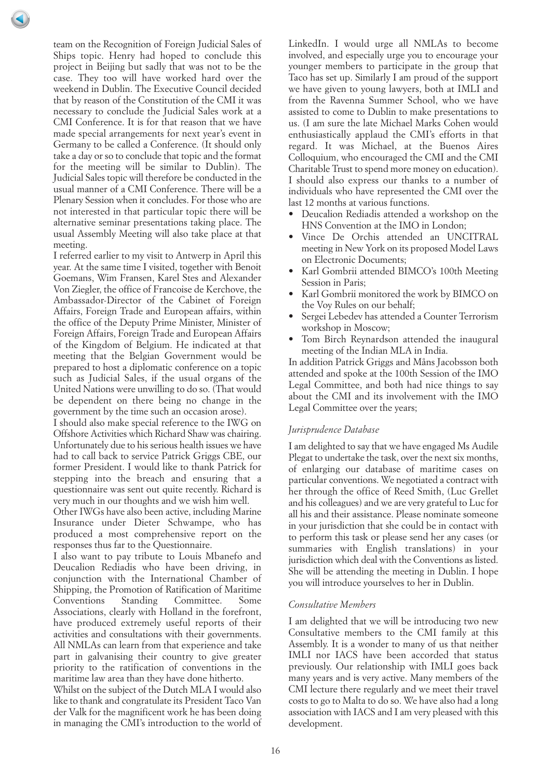team on the Recognition of Foreign Judicial Sales of Ships topic. Henry had hoped to conclude this project in Beijing but sadly that was not to be the case. They too will have worked hard over the weekend in Dublin. The Executive Council decided that by reason of the Constitution of the CMI it was necessary to conclude the Judicial Sales work at a CMI Conference. It is for that reason that we have made special arrangements for next year's event in Germany to be called a Conference. (It should only take a day or so to conclude that topic and the format for the meeting will be similar to Dublin). The Judicial Sales topic will therefore be conducted in the usual manner of a CMI Conference. There will be a Plenary Session when it concludes. For those who are not interested in that particular topic there will be alternative seminar presentations taking place. The usual Assembly Meeting will also take place at that meeting.

I referred earlier to my visit to Antwerp in April this year. At the same time I visited, together with Benoit Goemans, Wim Fransen, Karel Stes and Alexander Von Ziegler, the office of Francoise de Kerchove, the Ambassador-Director of the Cabinet of Foreign Affairs, Foreign Trade and European affairs, within the office of the Deputy Prime Minister, Minister of Foreign Affairs, Foreign Trade and European Affairs of the Kingdom of Belgium. He indicated at that meeting that the Belgian Government would be prepared to host a diplomatic conference on a topic such as Judicial Sales, if the usual organs of the United Nations were unwilling to do so. (That would be dependent on there being no change in the government by the time such an occasion arose).

I should also make special reference to the IWG on Offshore Activities which Richard Shaw was chairing. Unfortunately due to his serious health issues we have had to call back to service Patrick Griggs CBE, our former President. I would like to thank Patrick for stepping into the breach and ensuring that a questionnaire was sent out quite recently. Richard is very much in our thoughts and we wish him well.

Other IWGs have also been active, including Marine Insurance under Dieter Schwampe, who has produced a most comprehensive report on the responses thus far to the Questionnaire.

I also want to pay tribute to Louis Mbanefo and Deucalion Rediadis who have been driving, in conjunction with the International Chamber of Shipping, the Promotion of Ratification of Maritime Conventions Standing Committee. Some Associations, clearly with Holland in the forefront, have produced extremely useful reports of their activities and consultations with their governments. All NMLAs can learn from that experience and take part in galvanising their country to give greater priority to the ratification of conventions in the maritime law area than they have done hitherto.

Whilst on the subject of the Dutch MLA I would also like to thank and congratulate its President Taco Van der Valk for the magnificent work he has been doing in managing the CMI's introduction to the world of

LinkedIn. I would urge all NMLAs to become involved, and especially urge you to encourage your younger members to participate in the group that Taco has set up. Similarly I am proud of the support we have given to young lawyers, both at IMLI and from the Ravenna Summer School, who we have assisted to come to Dublin to make presentations to us. (I am sure the late Michael Marks Cohen would enthusiastically applaud the CMI's efforts in that regard. It was Michael, at the Buenos Aires Colloquium, who encouraged the CMI and the CMI Charitable Trust to spend more money on education). I should also express our thanks to a number of individuals who have represented the CMI over the last 12 months at various functions.

- Deucalion Rediadis attended a workshop on the HNS Convention at the IMO in London;
- Vince De Orchis attended an UNCITRAL meeting in New York on its proposed Model Laws on Electronic Documents;
- Karl Gombrii attended BIMCO's 100th Meeting Session in Paris;
- Karl Gombrii monitored the work by BIMCO on the Voy Rules on our behalf;
- Sergei Lebedev has attended a Counter Terrorism workshop in Moscow;
- Tom Birch Reynardson attended the inaugural meeting of the Indian MLA in India.

In addition Patrick Griggs and Måns Jacobsson both attended and spoke at the 100th Session of the IMO Legal Committee, and both had nice things to say about the CMI and its involvement with the IMO Legal Committee over the years;

# *Jurisprudence Database*

I am delighted to say that we have engaged Ms Audile Plegat to undertake the task, over the next six months, of enlarging our database of maritime cases on particular conventions. We negotiated a contract with her through the office of Reed Smith, (Luc Grellet and his colleagues) and we are very grateful to Luc for all his and their assistance. Please nominate someone in your jurisdiction that she could be in contact with to perform this task or please send her any cases (or summaries with English translations) in your jurisdiction which deal with the Conventions as listed. She will be attending the meeting in Dublin. I hope you will introduce yourselves to her in Dublin.

## *Consultative Members*

I am delighted that we will be introducing two new Consultative members to the CMI family at this Assembly. It is a wonder to many of us that neither IMLI nor IACS have been accorded that status previously. Our relationship with IMLI goes back many years and is very active. Many members of the CMI lecture there regularly and we meet their travel costs to go to Malta to do so. We have also had a long association with IACS and I am very pleased with this development.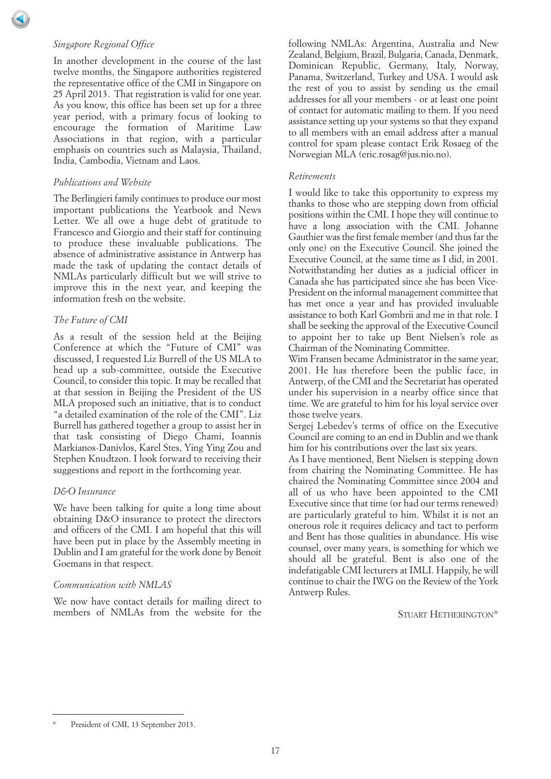## *Singapore Regional Office*

In another development in the course of the last twelve months, the Singapore authorities registered the representative office of the CMI in Singapore on 25 April 2013. That registration is valid for one year. As you know, this office has been set up for a three year period, with a primary focus of looking to encourage the formation of Maritime Law Associations in that region, with a particular emphasis on countries such as Malaysia, Thailand, India, Cambodia, Vietnam and Laos.

## *Publications and Website*

The Berlingieri family continues to produce our most important publications the Yearbook and News Letter. We all owe a huge debt of gratitude to Francesco and Giorgio and their staff for continuing to produce these invaluable publications. The absence of administrative assistance in Antwerp has made the task of updating the contact details of NMLAs particularly difficult but we will strive to improve this in the next year, and keeping the information fresh on the website.

## *The Future of CMI*

As a result of the session held at the Beijing Conference at which the "Future of CMI" was discussed, I requested Liz Burrell of the US MLA to head up a sub-committee, outside the Executive Council, to consider this topic. It may be recalled that at that session in Beijing the President of the US MLA proposed such an initiative, that is to conduct "a detailed examination of the role of the CMI". Liz Burrell has gathered together a group to assist her in that task consisting of Diego Chami, Ioannis Markianos-Danivlos, Karel Stes, Ying Ying Zou and Stephen Knudtzon. I look forward to receiving their suggestions and report in the forthcoming year.

# *D&O Insurance*

We have been talking for quite a long time about obtaining D&O insurance to protect the directors and officers of the CMI. I am hopeful that this will have been put in place by the Assembly meeting in Dublin and I am grateful for the work done by Benoit Goemans in that respect.

## *Communication with NMLAS*

We now have contact details for mailing direct to members of NMLAs from the website for the following NMLAs: Argentina, Australia and New Zealand, Belgium, Brazil, Bulgaria, Canada, Denmark, Dominican Republic, Germany, Italy, Norway, Panama, Switzerland, Turkey and USA. I would ask the rest of you to assist by sending us the email addresses for all your members - or at least one point of contact for automatic mailing to them. If you need assistance setting up your systems so that they expand to all members with an email address after a manual control for spam please contact Erik Rosaeg of the Norwegian MLA (eric.rosag@jus.nio.no).

#### *Retirements*

I would like to take this opportunity to express my thanks to those who are stepping down from official positions within the CMI. I hope they will continue to have a long association with the CMI. Johanne Gauthier was the first female member (and thus far the only one) on the Executive Council. She joined the Executive Council, at the same time as I did, in 2001. Notwithstanding her duties as a judicial officer in Canada she has participated since she has been Vice-President on the informal management committee that has met once a year and has provided invaluable assistance to both Karl Gombrii and me in that role. I shall be seeking the approval of the Executive Council to appoint her to take up Bent Nielsen's role as Chairman of the Nominating Committee.

Wim Fransen became Administrator in the same year, 2001. He has therefore been the public face, in Antwerp, of the CMI and the Secretariat has operated under his supervision in a nearby office since that time. We are grateful to him for his loyal service over those twelve years.

Sergej Lebedev's terms of office on the Executive Council are coming to an end in Dublin and we thank him for his contributions over the last six years.

As I have mentioned, Bent Nielsen is stepping down from chairing the Nominating Committee. He has chaired the Nominating Committee since 2004 and all of us who have been appointed to the CMI Executive since that time (or had our terms renewed) are particularly grateful to him. Whilst it is not an onerous role it requires delicacy and tact to perform and Bent has those qualities in abundance. His wise counsel, over many years, is something for which we should all be grateful. Bent is also one of the indefatigable CMI lecturers at IMLI. Happily, he will continue to chair the IWG on the Review of the York Antwerp Rules.

STUART HETHERINGTON\*

President of CMI, 13 September 2013.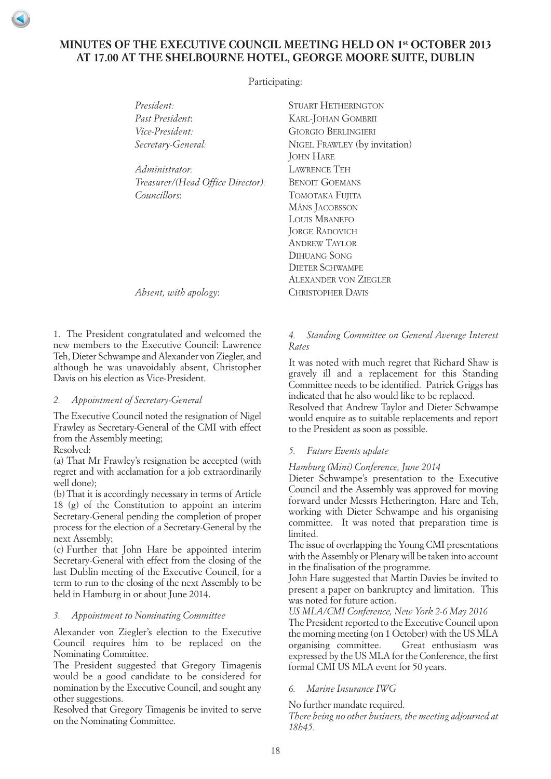# <span id="page-17-0"></span>**MINUTES OF THE EXECUTIVE COUNCIL MEETING HELD ON 1st OCTOBER 2013 AT 17.00 AT THE SHELBOURNE HOTEL, GEORGE MOORE SUITE, DUBLIN**

Participating:

| President:                        | <b>STUART HETHERINGTON</b>                        |  |
|-----------------------------------|---------------------------------------------------|--|
| Past President:                   | KARL-JOHAN GOMBRII                                |  |
| Vice-President:                   | <b>GIORGIO BERLINGIERI</b>                        |  |
| Secretary-General:                | NIGEL FRAWLEY (by invitation)<br><b>JOHN HARE</b> |  |
| Administrator·                    | <b>LAWRENCE TEH</b>                               |  |
| Treasurer/(Head Office Director): | <b>BENOIT GOEMANS</b>                             |  |
| <i>Councillors:</i>               | TOMOTAKA FUJITA                                   |  |
|                                   | MÅNS JACOBSSON                                    |  |
|                                   | <b>LOUIS MBANEFO</b>                              |  |
|                                   | <b>JORGE RADOVICH</b>                             |  |
|                                   | <b>ANDREW TAYLOR</b>                              |  |
|                                   | <b>DIHUANG SONG</b>                               |  |
|                                   | <b>DIETER SCHWAMPE</b>                            |  |
|                                   | ALEXANDER VON ZIEGLER                             |  |

*Absent, with apology*: CHRISTOPHER DAVIS

1. The President congratulated and welcomed the new members to the Executive Council: Lawrence Teh, Dieter Schwampe and Alexander von Ziegler, and although he was unavoidably absent, Christopher Davis on his election as Vice-President.

## *2. Appointment of Secretary-General*

The Executive Council noted the resignation of Nigel Frawley as Secretary-General of the CMI with effect from the Assembly meeting;

Resolved:

(a) That Mr Frawley's resignation be accepted (with regret and with acclamation for a job extraordinarily well done);

(b) That it is accordingly necessary in terms of Article 18 (g) of the Constitution to appoint an interim Secretary-General pending the completion of proper process for the election of a Secretary-General by the next Assembly;

(c) Further that John Hare be appointed interim Secretary-General with effect from the closing of the last Dublin meeting of the Executive Council, for a term to run to the closing of the next Assembly to be held in Hamburg in or about June 2014.

## *3. Appointment to Nominating Committee*

Alexander von Ziegler's election to the Executive Council requires him to be replaced on the Nominating Committee.

The President suggested that Gregory Timagenis would be a good candidate to be considered for nomination by the Executive Council, and sought any other suggestions.

Resolved that Gregory Timagenis be invited to serve on the Nominating Committee.

## *4. Standing Committee on General Average Interest Rates*

It was noted with much regret that Richard Shaw is gravely ill and a replacement for this Standing Committee needs to be identified. Patrick Griggs has indicated that he also would like to be replaced.

Resolved that Andrew Taylor and Dieter Schwampe would enquire as to suitable replacements and report to the President as soon as possible.

## *5. Future Events update*

## *Hamburg (Mini) Conference, June 2014*

Dieter Schwampe's presentation to the Executive Council and the Assembly was approved for moving forward under Messrs Hetherington, Hare and Teh, working with Dieter Schwampe and his organising committee. It was noted that preparation time is limited.

The issue of overlapping the Young CMI presentations with the Assembly or Plenary will be taken into account in the finalisation of the programme.

John Hare suggested that Martin Davies be invited to present a paper on bankruptcy and limitation. This was noted for future action.

*US MLA/CMI Conference, New York 2-6 May 2016*

The President reported to the Executive Council upon the morning meeting (on 1 October) with the US MLA organising committee. Great enthusiasm was expressed by the US MLA for the Conference, the first formal CMI US MLA event for 50 years.

## *6. Marine Insurance IWG*

No further mandate required.

*There being no other business, the meeting adjourned at 18h45.*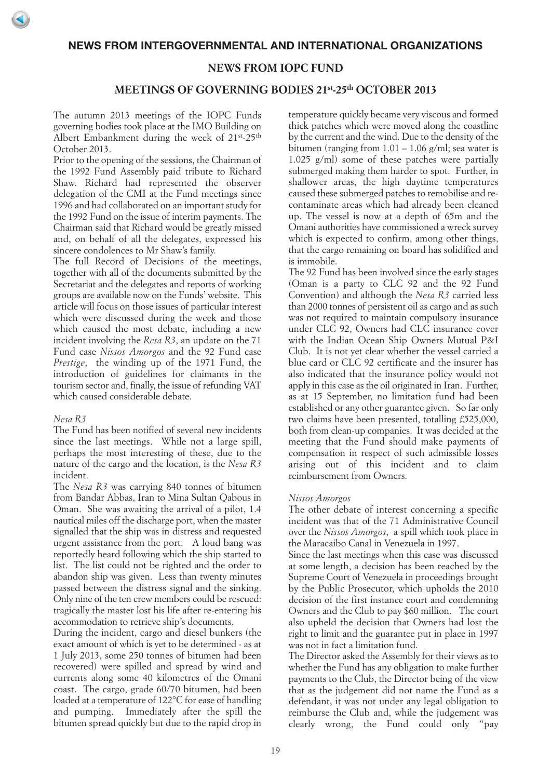# **NEWS FROM IOPC FUND**

# **MEETINGS OF GOVERNING BODIES 21st-25th OCTOBER 2013**

<span id="page-18-0"></span>The autumn 2013 meetings of the IOPC Funds governing bodies took place at the IMO Building on Albert Embankment during the week of 21<sup>st</sup>-25<sup>th</sup> October 2013.

Prior to the opening of the sessions, the Chairman of the 1992 Fund Assembly paid tribute to Richard Shaw. Richard had represented the observer delegation of the CMI at the Fund meetings since 1996 and had collaborated on an important study for the 1992 Fund on the issue of interim payments. The Chairman said that Richard would be greatly missed and, on behalf of all the delegates, expressed his sincere condolences to Mr Shaw's family.

The full Record of Decisions of the meetings, together with all of the documents submitted by the Secretariat and the delegates and reports of working groups are available now on the Funds' website. This article will focus on those issues of particular interest which were discussed during the week and those which caused the most debate, including a new incident involving the *Resa R3*, an update on the 71 Fund case *Nissos Amorgos* and the 92 Fund case *Prestige*, the winding up of the 1971 Fund, the introduction of guidelines for claimants in the tourism sector and, finally, the issue of refunding VAT which caused considerable debate.

#### *Nesa R3*

The Fund has been notified of several new incidents since the last meetings. While not a large spill, perhaps the most interesting of these, due to the nature of the cargo and the location, is the *Nesa R3* incident.

The *Nesa R3* was carrying 840 tonnes of bitumen from Bandar Abbas, Iran to Mina Sultan Qabous in Oman. She was awaiting the arrival of a pilot, 1.4 nautical miles off the discharge port, when the master signalled that the ship was in distress and requested urgent assistance from the port. A loud bang was reportedly heard following which the ship started to list. The list could not be righted and the order to abandon ship was given. Less than twenty minutes passed between the distress signal and the sinking. Only nine of the ten crew members could be rescued: tragically the master lost his life after re-entering his accommodation to retrieve ship's documents.

During the incident, cargo and diesel bunkers (the exact amount of which is yet to be determined - as at 1 July 2013, some 250 tonnes of bitumen had been recovered) were spilled and spread by wind and currents along some 40 kilometres of the Omani coast. The cargo, grade 60/70 bitumen, had been loaded at a temperature of 122°C for ease of handling and pumping. Immediately after the spill the bitumen spread quickly but due to the rapid drop in

temperature quickly became very viscous and formed thick patches which were moved along the coastline by the current and the wind. Due to the density of the bitumen (ranging from  $1.01 - 1.06$  g/ml; sea water is 1.025 g/ml) some of these patches were partially submerged making them harder to spot. Further, in shallower areas, the high daytime temperatures caused these submerged patches to remobilise and recontaminate areas which had already been cleaned up. The vessel is now at a depth of 65m and the Omani authorities have commissioned a wreck survey which is expected to confirm, among other things, that the cargo remaining on board has solidified and is immobile.

The 92 Fund has been involved since the early stages (Oman is a party to CLC 92 and the 92 Fund Convention) and although the *Nesa R3* carried less than 2000 tonnes of persistent oil as cargo and as such was not required to maintain compulsory insurance under CLC 92, Owners had CLC insurance cover with the Indian Ocean Ship Owners Mutual P&I Club. It is not yet clear whether the vessel carried a blue card or CLC 92 certificate and the insurer has also indicated that the insurance policy would not apply in this case as the oil originated in Iran. Further, as at 15 September, no limitation fund had been established or any other guarantee given. So far only two claims have been presented, totalling £525,000, both from clean-up companies. It was decided at the meeting that the Fund should make payments of compensation in respect of such admissible losses arising out of this incident and to claim reimbursement from Owners.

#### *Nissos Amorgos*

The other debate of interest concerning a specific incident was that of the 71 Administrative Council over the *Nissos Amorgos*, a spill which took place in the Maracaibo Canal in Venezuela in 1997.

Since the last meetings when this case was discussed at some length, a decision has been reached by the Supreme Court of Venezuela in proceedings brought by the Public Prosecutor, which upholds the 2010 decision of the first instance court and condemning Owners and the Club to pay \$60 million. The court also upheld the decision that Owners had lost the right to limit and the guarantee put in place in 1997 was not in fact a limitation fund.

The Director asked the Assembly for their views as to whether the Fund has any obligation to make further payments to the Club, the Director being of the view that as the judgement did not name the Fund as a defendant, it was not under any legal obligation to reimburse the Club and, while the judgement was clearly wrong, the Fund could only "pay